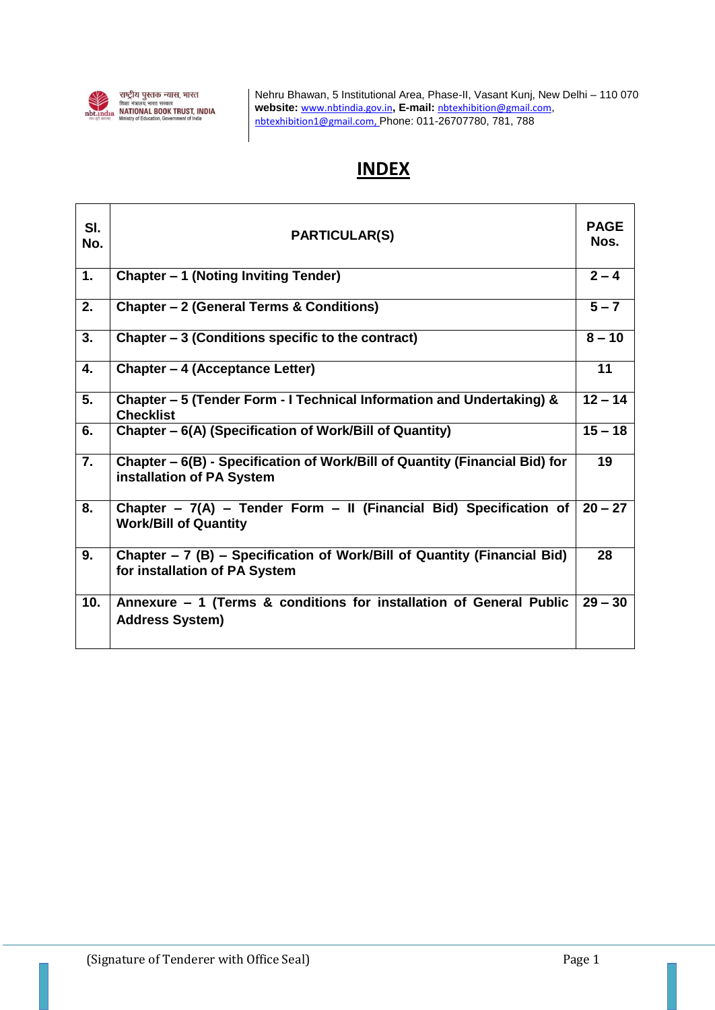

Nehru Bhawan, 5 Institutional Area, Phase-II, Vasant Kunj, New Delhi – 110 070 **website:** [www.nbtindia.gov.in](http://www.nbtindia@nbtindia.gov.in)**, E-mail:** [nbtexhibition@gmail.com](mailto:nbtexhibition@gmail.com), [nbtexhibition1@gmail.com,](mailto:nbtexhibition1@gmail.com) Phone: 011-26707780, 781, 788

# **INDEX**

| SI.<br>No.      | <b>PARTICULAR(S)</b>                                                                                      |           |  |
|-----------------|-----------------------------------------------------------------------------------------------------------|-----------|--|
| 1.              | Chapter – 1 (Noting Inviting Tender)                                                                      | $2 - 4$   |  |
| 2.              | Chapter - 2 (General Terms & Conditions)                                                                  | $5 - 7$   |  |
| 3.              | Chapter – 3 (Conditions specific to the contract)                                                         | $8 - 10$  |  |
| 4.              | <b>Chapter - 4 (Acceptance Letter)</b>                                                                    | 11        |  |
| 5.              | Chapter - 5 (Tender Form - I Technical Information and Undertaking) &<br><b>Checklist</b>                 | $12 - 14$ |  |
| 6.              | Chapter - 6(A) (Specification of Work/Bill of Quantity)                                                   | $15 - 18$ |  |
| 7.              | Chapter – 6(B) - Specification of Work/Bill of Quantity (Financial Bid) for<br>installation of PA System  | 19        |  |
| 8.              | Chapter - 7(A) - Tender Form - II (Financial Bid) Specification of<br><b>Work/Bill of Quantity</b>        | $20 - 27$ |  |
| 9.              | Chapter – 7 (B) – Specification of Work/Bill of Quantity (Financial Bid)<br>for installation of PA System | 28        |  |
| 10 <sub>1</sub> | Annexure - 1 (Terms & conditions for installation of General Public<br><b>Address System)</b>             | $29 - 30$ |  |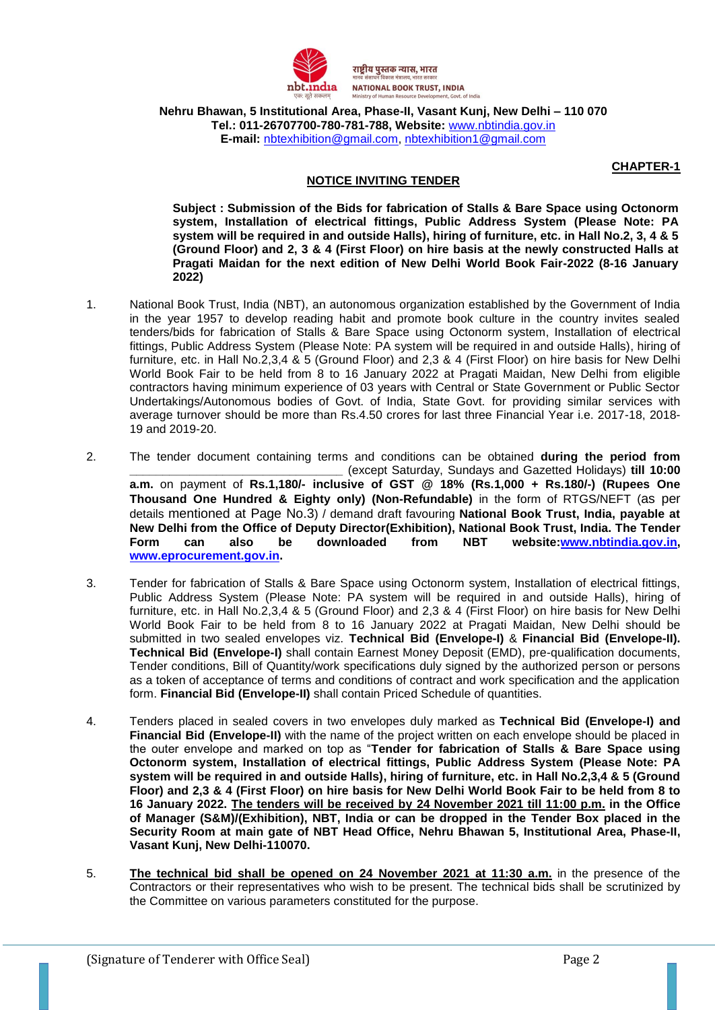

राष्ट्रीय पुस्तक न्यास, भारत **NATIONAL BOOK TRUST, INDIA** 

**Nehru Bhawan, 5 Institutional Area, Phase-II, Vasant Kunj, New Delhi – 110 070 Tel.: 011-26707700-780-781-788, Website:** [www.nbtindia.gov.in](http://www.nbtindia.gov.in/) **E-mail:** [nbtexhibition@gmail.com,](mailto:nbtexhibition@gmail.com) [nbtexhibition1@gmail.com](mailto:nbtexhibition1@gmail.com)

## **NOTICE INVITING TENDER**

**CHAPTER-1**

**Subject : Submission of the Bids for fabrication of Stalls & Bare Space using Octonorm system, Installation of electrical fittings, Public Address System (Please Note: PA system will be required in and outside Halls), hiring of furniture, etc. in Hall No.2, 3, 4 & 5 (Ground Floor) and 2, 3 & 4 (First Floor) on hire basis at the newly constructed Halls at Pragati Maidan for the next edition of New Delhi World Book Fair-2022 (8-16 January 2022)**

- 1. National Book Trust, India (NBT), an autonomous organization established by the Government of India in the year 1957 to develop reading habit and promote book culture in the country invites sealed tenders/bids for fabrication of Stalls & Bare Space using Octonorm system, Installation of electrical fittings, Public Address System (Please Note: PA system will be required in and outside Halls), hiring of furniture, etc. in Hall No.2,3,4 & 5 (Ground Floor) and 2,3 & 4 (First Floor) on hire basis for New Delhi World Book Fair to be held from 8 to 16 January 2022 at Pragati Maidan, New Delhi from eligible contractors having minimum experience of 03 years with Central or State Government or Public Sector Undertakings/Autonomous bodies of Govt. of India, State Govt. for providing similar services with average turnover should be more than Rs.4.50 crores for last three Financial Year i.e. 2017-18, 2018- 19 and 2019-20.
- 2. The tender document containing terms and conditions can be obtained **during the period from \_\_\_\_\_\_\_\_\_\_\_\_\_\_\_\_\_\_\_\_\_\_\_\_\_\_\_\_\_\_\_\_** (except Saturday, Sundays and Gazetted Holidays) **till 10:00 a.m.** on payment of **Rs.1,180/- inclusive of GST @ 18% (Rs.1,000 + Rs.180/-) (Rupees One Thousand One Hundred & Eighty only) (Non-Refundable)** in the form of RTGS/NEFT (as per details mentioned at Page No.3) / demand draft favouring **National Book Trust, India, payable at New Delhi from the Office of Deputy Director(Exhibition), National Book Trust, India. The Tender Form can also be downloaded from NBT website[:www.nbtindia.gov.in,](http://www.nbtindia.gov.in/) [www.eprocurement.gov.in.](http://www.eprocurement.gov.in/)**
- 3. Tender for fabrication of Stalls & Bare Space using Octonorm system, Installation of electrical fittings, Public Address System (Please Note: PA system will be required in and outside Halls), hiring of furniture, etc. in Hall No.2,3,4 & 5 (Ground Floor) and 2,3 & 4 (First Floor) on hire basis for New Delhi World Book Fair to be held from 8 to 16 January 2022 at Pragati Maidan, New Delhi should be submitted in two sealed envelopes viz. **Technical Bid (Envelope-I)** & **Financial Bid (Envelope-II). Technical Bid (Envelope-I)** shall contain Earnest Money Deposit (EMD), pre-qualification documents, Tender conditions, Bill of Quantity/work specifications duly signed by the authorized person or persons as a token of acceptance of terms and conditions of contract and work specification and the application form. **Financial Bid (Envelope-II)** shall contain Priced Schedule of quantities.
- 4. Tenders placed in sealed covers in two envelopes duly marked as **Technical Bid (Envelope-I) and Financial Bid (Envelope-II)** with the name of the project written on each envelope should be placed in the outer envelope and marked on top as "**Tender for fabrication of Stalls & Bare Space using Octonorm system, Installation of electrical fittings, Public Address System (Please Note: PA system will be required in and outside Halls), hiring of furniture, etc. in Hall No.2,3,4 & 5 (Ground Floor) and 2,3 & 4 (First Floor) on hire basis for New Delhi World Book Fair to be held from 8 to 16 January 2022. The tenders will be received by 24 November 2021 till 11:00 p.m. in the Office of Manager (S&M)/(Exhibition), NBT, India or can be dropped in the Tender Box placed in the Security Room at main gate of NBT Head Office, Nehru Bhawan 5, Institutional Area, Phase-II, Vasant Kunj, New Delhi-110070.**
- 5. **The technical bid shall be opened on 24 November 2021 at 11:30 a.m.** in the presence of the Contractors or their representatives who wish to be present. The technical bids shall be scrutinized by the Committee on various parameters constituted for the purpose.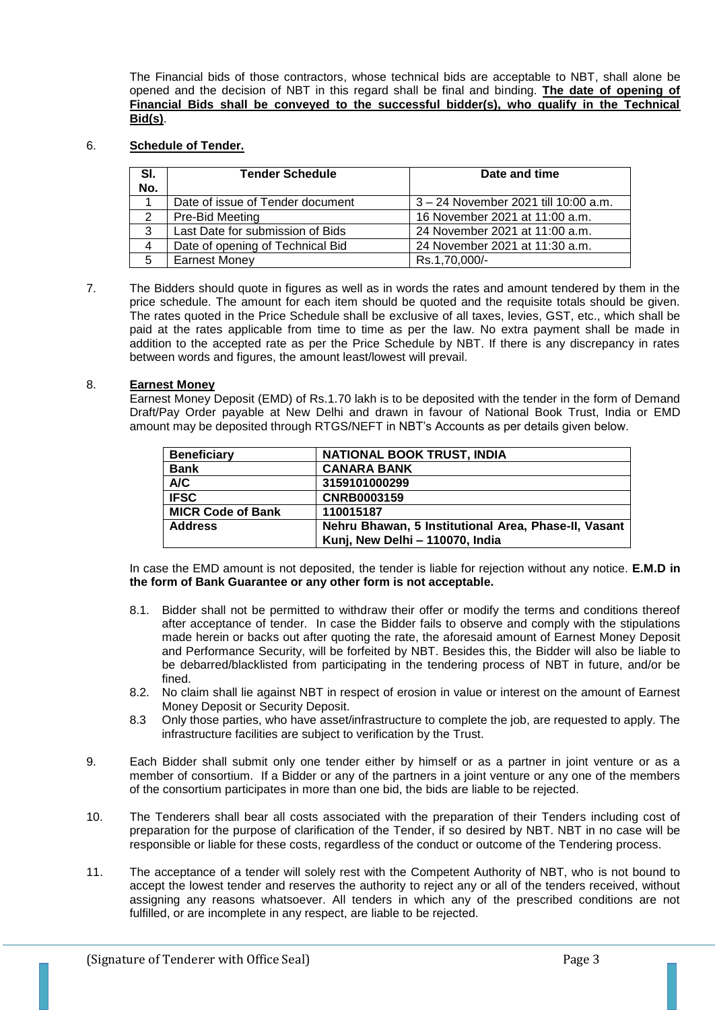The Financial bids of those contractors, whose technical bids are acceptable to NBT, shall alone be opened and the decision of NBT in this regard shall be final and binding. **The date of opening of Financial Bids shall be conveyed to the successful bidder(s), who qualify in the Technical Bid(s)**.

## 6. **Schedule of Tender.**

| SI.<br>No. | <b>Tender Schedule</b>           | Date and time                        |  |
|------------|----------------------------------|--------------------------------------|--|
|            | Date of issue of Tender document | 3 – 24 November 2021 till 10:00 a.m. |  |
| 2          | Pre-Bid Meeting                  | 16 November 2021 at 11:00 a.m.       |  |
| 3          | Last Date for submission of Bids | 24 November 2021 at 11:00 a.m.       |  |
| 4          | Date of opening of Technical Bid | 24 November 2021 at 11:30 a.m.       |  |
| 5          | <b>Earnest Money</b>             | Rs.1,70,000/-                        |  |

7. The Bidders should quote in figures as well as in words the rates and amount tendered by them in the price schedule. The amount for each item should be quoted and the requisite totals should be given. The rates quoted in the Price Schedule shall be exclusive of all taxes, levies, GST, etc., which shall be paid at the rates applicable from time to time as per the law. No extra payment shall be made in addition to the accepted rate as per the Price Schedule by NBT. If there is any discrepancy in rates between words and figures, the amount least/lowest will prevail.

## 8. **Earnest Money**

Earnest Money Deposit (EMD) of Rs.1.70 lakh is to be deposited with the tender in the form of Demand Draft/Pay Order payable at New Delhi and drawn in favour of National Book Trust, India or EMD amount may be deposited through RTGS/NEFT in NBT's Accounts as per details given below.

| <b>Beneficiary</b>       | <b>NATIONAL BOOK TRUST, INDIA</b>                    |
|--------------------------|------------------------------------------------------|
| <b>Bank</b>              | <b>CANARA BANK</b>                                   |
| A/C                      | 3159101000299                                        |
| <b>IFSC</b>              | <b>CNRB0003159</b>                                   |
| <b>MICR Code of Bank</b> | 110015187                                            |
| <b>Address</b>           | Nehru Bhawan, 5 Institutional Area, Phase-II, Vasant |
|                          | Kunj, New Delhi - 110070, India                      |

In case the EMD amount is not deposited, the tender is liable for rejection without any notice. **E.M.D in the form of Bank Guarantee or any other form is not acceptable.**

- 8.1. Bidder shall not be permitted to withdraw their offer or modify the terms and conditions thereof after acceptance of tender. In case the Bidder fails to observe and comply with the stipulations made herein or backs out after quoting the rate, the aforesaid amount of Earnest Money Deposit and Performance Security, will be forfeited by NBT. Besides this, the Bidder will also be liable to be debarred/blacklisted from participating in the tendering process of NBT in future, and/or be fined.
- 8.2. No claim shall lie against NBT in respect of erosion in value or interest on the amount of Earnest Money Deposit or Security Deposit.
- 8.3 Only those parties, who have asset/infrastructure to complete the job, are requested to apply. The infrastructure facilities are subject to verification by the Trust.
- 9. Each Bidder shall submit only one tender either by himself or as a partner in joint venture or as a member of consortium. If a Bidder or any of the partners in a joint venture or any one of the members of the consortium participates in more than one bid, the bids are liable to be rejected.
- 10. The Tenderers shall bear all costs associated with the preparation of their Tenders including cost of preparation for the purpose of clarification of the Tender, if so desired by NBT. NBT in no case will be responsible or liable for these costs, regardless of the conduct or outcome of the Tendering process.
- 11. The acceptance of a tender will solely rest with the Competent Authority of NBT, who is not bound to accept the lowest tender and reserves the authority to reject any or all of the tenders received, without assigning any reasons whatsoever. All tenders in which any of the prescribed conditions are not fulfilled, or are incomplete in any respect, are liable to be rejected.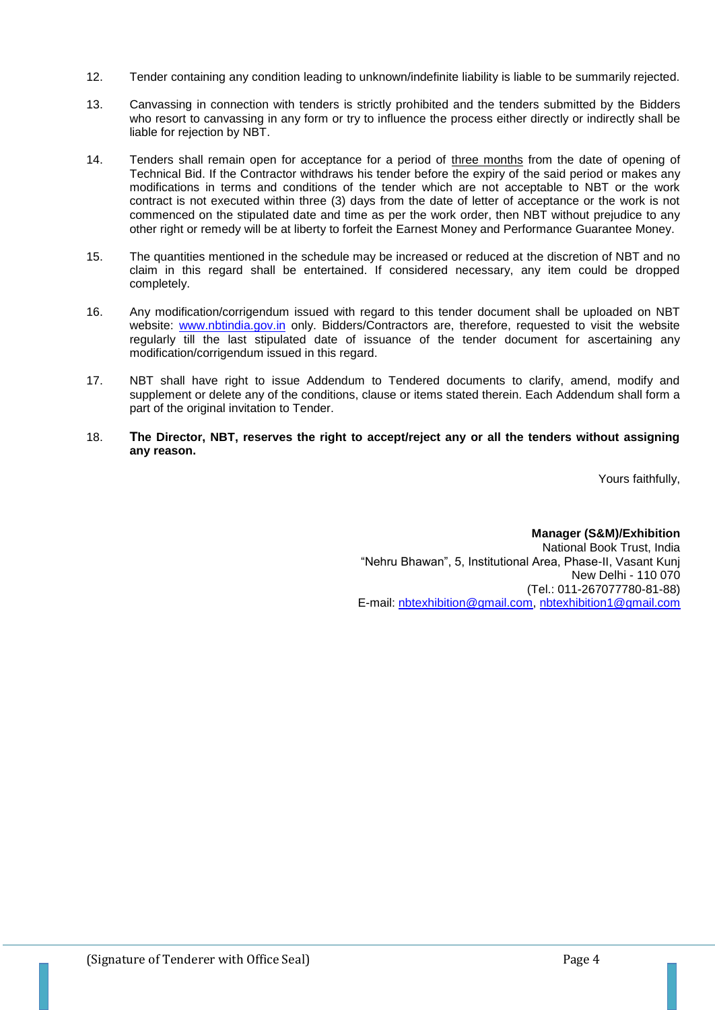- 12. Tender containing any condition leading to unknown/indefinite liability is liable to be summarily rejected.
- 13. Canvassing in connection with tenders is strictly prohibited and the tenders submitted by the Bidders who resort to canvassing in any form or try to influence the process either directly or indirectly shall be liable for rejection by NBT.
- 14. Tenders shall remain open for acceptance for a period of three months from the date of opening of Technical Bid. If the Contractor withdraws his tender before the expiry of the said period or makes any modifications in terms and conditions of the tender which are not acceptable to NBT or the work contract is not executed within three (3) days from the date of letter of acceptance or the work is not commenced on the stipulated date and time as per the work order, then NBT without prejudice to any other right or remedy will be at liberty to forfeit the Earnest Money and Performance Guarantee Money.
- 15. The quantities mentioned in the schedule may be increased or reduced at the discretion of NBT and no claim in this regard shall be entertained. If considered necessary, any item could be dropped completely.
- 16. Any modification/corrigendum issued with regard to this tender document shall be uploaded on NBT website: [www.nbtindia.gov.in](http://www.nbtindia.gov.in/) only. Bidders/Contractors are, therefore, requested to visit the website regularly till the last stipulated date of issuance of the tender document for ascertaining any modification/corrigendum issued in this regard.
- 17. NBT shall have right to issue Addendum to Tendered documents to clarify, amend, modify and supplement or delete any of the conditions, clause or items stated therein. Each Addendum shall form a part of the original invitation to Tender.
- 18. **The Director, NBT, reserves the right to accept/reject any or all the tenders without assigning any reason.**

Yours faithfully,

**Manager (S&M)/Exhibition** National Book Trust, India "Nehru Bhawan", 5, Institutional Area, Phase-II, Vasant Kunj New Delhi - 110 070 (Tel.: 011-267077780-81-88) E-mail: [nbtexhibition@gmail.com,](mailto:nbtexhibition@gmail.com) [nbtexhibition1@gmail.com](mailto:nbtexhibition1@gmail.com)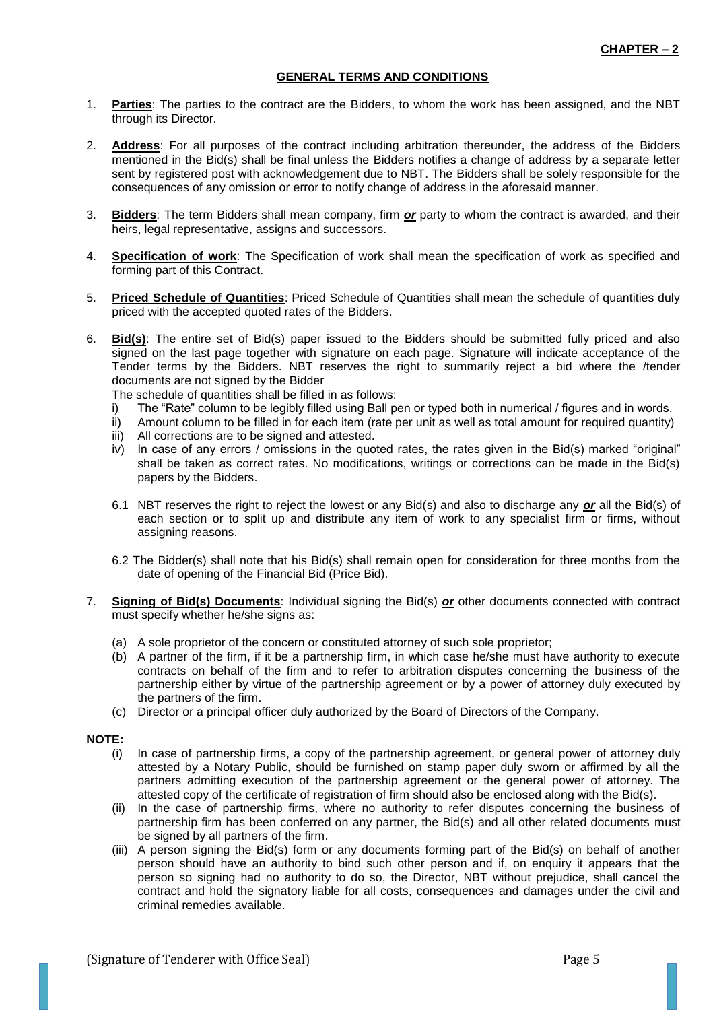#### **GENERAL TERMS AND CONDITIONS**

- 1. **Parties**: The parties to the contract are the Bidders, to whom the work has been assigned, and the NBT through its Director.
- 2. **Address**: For all purposes of the contract including arbitration thereunder, the address of the Bidders mentioned in the Bid(s) shall be final unless the Bidders notifies a change of address by a separate letter sent by registered post with acknowledgement due to NBT. The Bidders shall be solely responsible for the consequences of any omission or error to notify change of address in the aforesaid manner.
- 3. **Bidders**: The term Bidders shall mean company, firm *or* party to whom the contract is awarded, and their heirs, legal representative, assigns and successors.
- 4. **Specification of work**: The Specification of work shall mean the specification of work as specified and forming part of this Contract.
- 5. **Priced Schedule of Quantities**: Priced Schedule of Quantities shall mean the schedule of quantities duly priced with the accepted quoted rates of the Bidders.
- 6. **Bid(s)**: The entire set of Bid(s) paper issued to the Bidders should be submitted fully priced and also signed on the last page together with signature on each page. Signature will indicate acceptance of the Tender terms by the Bidders. NBT reserves the right to summarily reject a bid where the /tender documents are not signed by the Bidder
	- The schedule of quantities shall be filled in as follows:
	- i) The "Rate" column to be legibly filled using Ball pen or typed both in numerical / figures and in words.
	- ii) Amount column to be filled in for each item (rate per unit as well as total amount for required quantity)
	- iii) All corrections are to be signed and attested.
	- iv) In case of any errors / omissions in the quoted rates, the rates given in the Bid(s) marked "original" shall be taken as correct rates. No modifications, writings or corrections can be made in the Bid(s) papers by the Bidders.
	- 6.1 NBT reserves the right to reject the lowest or any Bid(s) and also to discharge any *or* all the Bid(s) of each section or to split up and distribute any item of work to any specialist firm or firms, without assigning reasons.
	- 6.2 The Bidder(s) shall note that his Bid(s) shall remain open for consideration for three months from the date of opening of the Financial Bid (Price Bid).
- 7. **Signing of Bid(s) Documents**: Individual signing the Bid(s) *or* other documents connected with contract must specify whether he/she signs as:
	- (a) A sole proprietor of the concern or constituted attorney of such sole proprietor;
	- (b) A partner of the firm, if it be a partnership firm, in which case he/she must have authority to execute contracts on behalf of the firm and to refer to arbitration disputes concerning the business of the partnership either by virtue of the partnership agreement or by a power of attorney duly executed by the partners of the firm.
	- (c) Director or a principal officer duly authorized by the Board of Directors of the Company.

#### **NOTE:**

- (i) In case of partnership firms, a copy of the partnership agreement, or general power of attorney duly attested by a Notary Public, should be furnished on stamp paper duly sworn or affirmed by all the partners admitting execution of the partnership agreement or the general power of attorney. The attested copy of the certificate of registration of firm should also be enclosed along with the Bid(s).
- (ii) In the case of partnership firms, where no authority to refer disputes concerning the business of partnership firm has been conferred on any partner, the Bid(s) and all other related documents must be signed by all partners of the firm.
- (iii) A person signing the Bid(s) form or any documents forming part of the Bid(s) on behalf of another person should have an authority to bind such other person and if, on enquiry it appears that the person so signing had no authority to do so, the Director, NBT without prejudice, shall cancel the contract and hold the signatory liable for all costs, consequences and damages under the civil and criminal remedies available.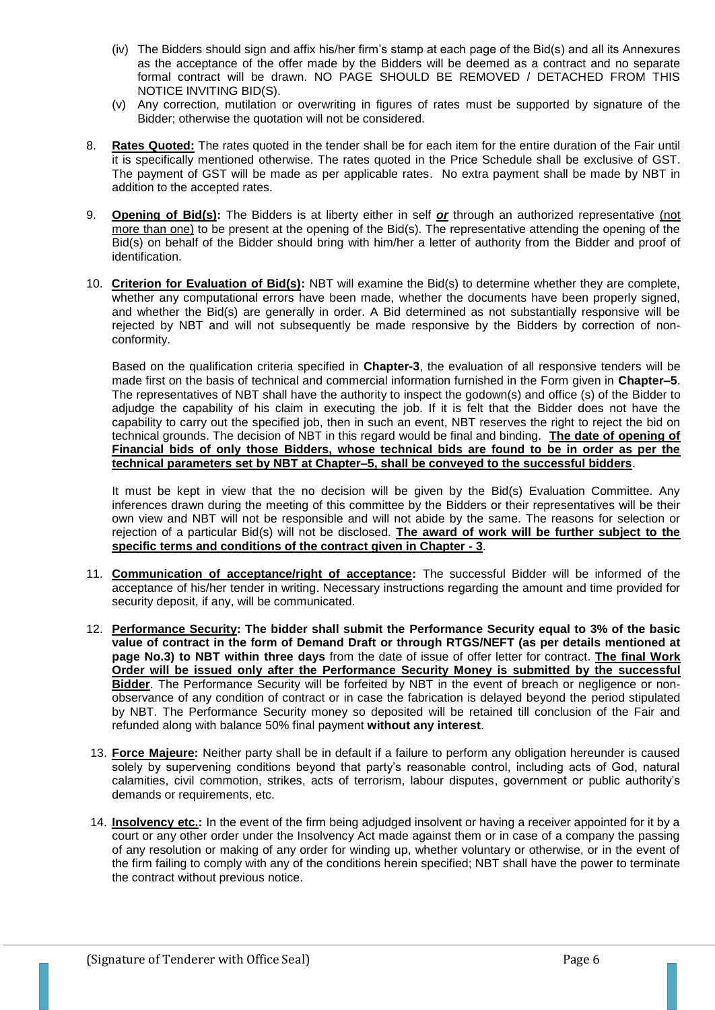- (iv) The Bidders should sign and affix his/her firm's stamp at each page of the Bid(s) and all its Annexures as the acceptance of the offer made by the Bidders will be deemed as a contract and no separate formal contract will be drawn. NO PAGE SHOULD BE REMOVED / DETACHED FROM THIS NOTICE INVITING BID(S).
- (v) Any correction, mutilation or overwriting in figures of rates must be supported by signature of the Bidder; otherwise the quotation will not be considered.
- 8. **Rates Quoted:** The rates quoted in the tender shall be for each item for the entire duration of the Fair until it is specifically mentioned otherwise. The rates quoted in the Price Schedule shall be exclusive of GST. The payment of GST will be made as per applicable rates. No extra payment shall be made by NBT in addition to the accepted rates.
- 9. **Opening of Bid(s):** The Bidders is at liberty either in self *or* through an authorized representative (not more than one) to be present at the opening of the Bid(s). The representative attending the opening of the Bid(s) on behalf of the Bidder should bring with him/her a letter of authority from the Bidder and proof of identification.
- 10. **Criterion for Evaluation of Bid(s):** NBT will examine the Bid(s) to determine whether they are complete, whether any computational errors have been made, whether the documents have been properly signed, and whether the Bid(s) are generally in order. A Bid determined as not substantially responsive will be rejected by NBT and will not subsequently be made responsive by the Bidders by correction of nonconformity.

Based on the qualification criteria specified in **Chapter-3**, the evaluation of all responsive tenders will be made first on the basis of technical and commercial information furnished in the Form given in **Chapter–5**. The representatives of NBT shall have the authority to inspect the godown(s) and office (s) of the Bidder to adjudge the capability of his claim in executing the job. If it is felt that the Bidder does not have the capability to carry out the specified job, then in such an event, NBT reserves the right to reject the bid on technical grounds. The decision of NBT in this regard would be final and binding. **The date of opening of Financial bids of only those Bidders, whose technical bids are found to be in order as per the technical parameters set by NBT at Chapter–5, shall be conveyed to the successful bidders**.

It must be kept in view that the no decision will be given by the Bid(s) Evaluation Committee. Any inferences drawn during the meeting of this committee by the Bidders or their representatives will be their own view and NBT will not be responsible and will not abide by the same. The reasons for selection or rejection of a particular Bid(s) will not be disclosed. **The award of work will be further subject to the specific terms and conditions of the contract given in Chapter - 3**.

- 11. **Communication of acceptance/right of acceptance:** The successful Bidder will be informed of the acceptance of his/her tender in writing. Necessary instructions regarding the amount and time provided for security deposit, if any, will be communicated.
- 12. **Performance Security: The bidder shall submit the Performance Security equal to 3% of the basic value of contract in the form of Demand Draft or through RTGS/NEFT (as per details mentioned at page No.3) to NBT within three days** from the date of issue of offer letter for contract. **The final Work Order will be issued only after the Performance Security Money is submitted by the successful Bidder**. The Performance Security will be forfeited by NBT in the event of breach or negligence or nonobservance of any condition of contract or in case the fabrication is delayed beyond the period stipulated by NBT. The Performance Security money so deposited will be retained till conclusion of the Fair and refunded along with balance 50% final payment **without any interest**.
- 13. **Force Majeure:** Neither party shall be in default if a failure to perform any obligation hereunder is caused solely by supervening conditions beyond that party's reasonable control, including acts of God, natural calamities, civil commotion, strikes, acts of terrorism, labour disputes, government or public authority's demands or requirements, etc.
- 14. **Insolvency etc.:** In the event of the firm being adjudged insolvent or having a receiver appointed for it by a court or any other order under the Insolvency Act made against them or in case of a company the passing of any resolution or making of any order for winding up, whether voluntary or otherwise, or in the event of the firm failing to comply with any of the conditions herein specified; NBT shall have the power to terminate the contract without previous notice.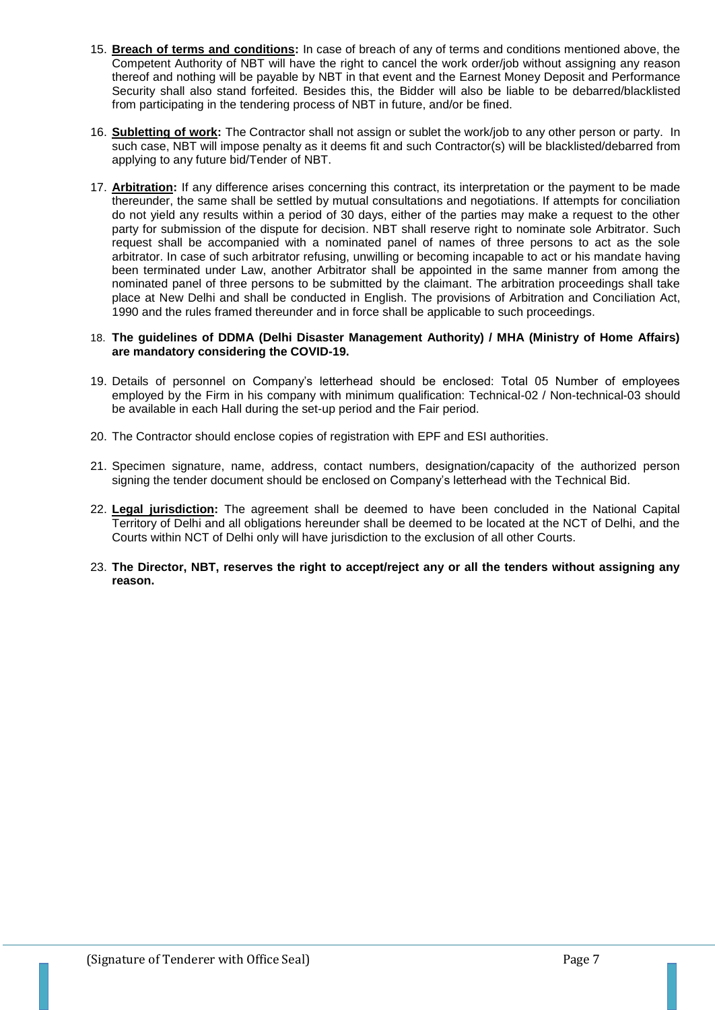- 15. **Breach of terms and conditions:** In case of breach of any of terms and conditions mentioned above, the Competent Authority of NBT will have the right to cancel the work order/job without assigning any reason thereof and nothing will be payable by NBT in that event and the Earnest Money Deposit and Performance Security shall also stand forfeited. Besides this, the Bidder will also be liable to be debarred/blacklisted from participating in the tendering process of NBT in future, and/or be fined.
- 16. **Subletting of work:** The Contractor shall not assign or sublet the work/job to any other person or party. In such case, NBT will impose penalty as it deems fit and such Contractor(s) will be blacklisted/debarred from applying to any future bid/Tender of NBT.
- 17. **Arbitration:** If any difference arises concerning this contract, its interpretation or the payment to be made thereunder, the same shall be settled by mutual consultations and negotiations. If attempts for conciliation do not yield any results within a period of 30 days, either of the parties may make a request to the other party for submission of the dispute for decision. NBT shall reserve right to nominate sole Arbitrator. Such request shall be accompanied with a nominated panel of names of three persons to act as the sole arbitrator. In case of such arbitrator refusing, unwilling or becoming incapable to act or his mandate having been terminated under Law, another Arbitrator shall be appointed in the same manner from among the nominated panel of three persons to be submitted by the claimant. The arbitration proceedings shall take place at New Delhi and shall be conducted in English. The provisions of Arbitration and Conciliation Act, 1990 and the rules framed thereunder and in force shall be applicable to such proceedings.

#### 18. **The guidelines of DDMA (Delhi Disaster Management Authority) / MHA (Ministry of Home Affairs) are mandatory considering the COVID-19.**

- 19. Details of personnel on Company's letterhead should be enclosed: Total 05 Number of employees employed by the Firm in his company with minimum qualification: Technical-02 / Non-technical-03 should be available in each Hall during the set-up period and the Fair period.
- 20. The Contractor should enclose copies of registration with EPF and ESI authorities.
- 21. Specimen signature, name, address, contact numbers, designation/capacity of the authorized person signing the tender document should be enclosed on Company's letterhead with the Technical Bid.
- 22. **Legal jurisdiction:** The agreement shall be deemed to have been concluded in the National Capital Territory of Delhi and all obligations hereunder shall be deemed to be located at the NCT of Delhi, and the Courts within NCT of Delhi only will have jurisdiction to the exclusion of all other Courts.
- 23. **The Director, NBT, reserves the right to accept/reject any or all the tenders without assigning any reason.**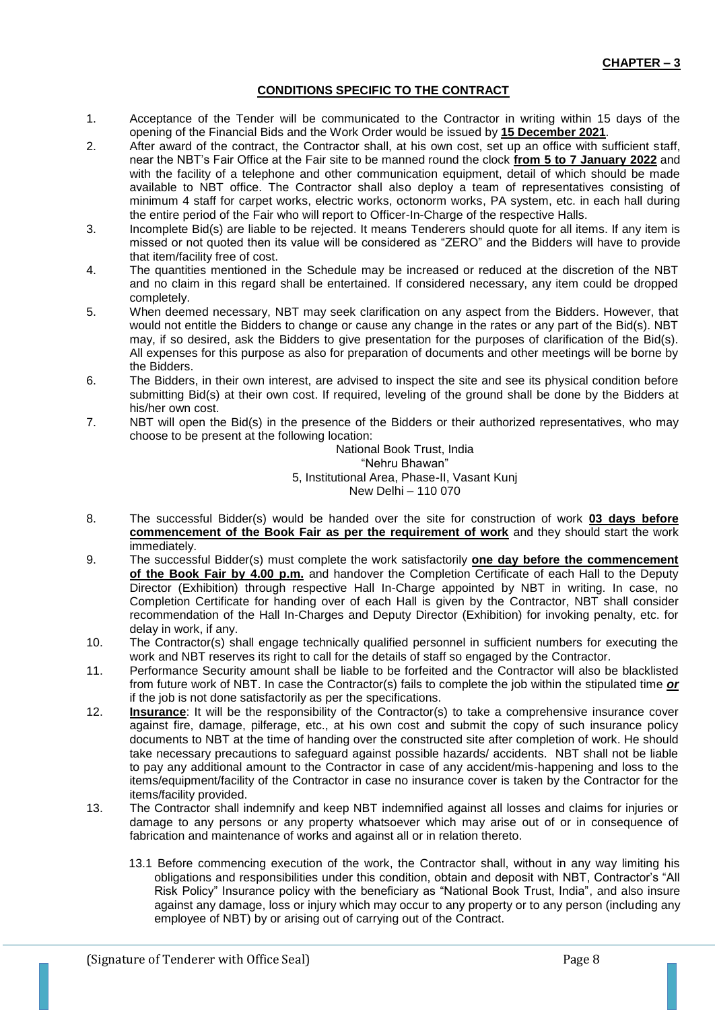# **CONDITIONS SPECIFIC TO THE CONTRACT**

- 1. Acceptance of the Tender will be communicated to the Contractor in writing within 15 days of the opening of the Financial Bids and the Work Order would be issued by **15 December 2021**.
- 2. After award of the contract, the Contractor shall, at his own cost, set up an office with sufficient staff, near the NBT's Fair Office at the Fair site to be manned round the clock **from 5 to 7 January 2022** and with the facility of a telephone and other communication equipment, detail of which should be made available to NBT office. The Contractor shall also deploy a team of representatives consisting of minimum 4 staff for carpet works, electric works, octonorm works, PA system, etc. in each hall during the entire period of the Fair who will report to Officer-In-Charge of the respective Halls.
- 3. Incomplete Bid(s) are liable to be rejected. It means Tenderers should quote for all items. If any item is missed or not quoted then its value will be considered as "ZERO" and the Bidders will have to provide that item/facility free of cost.
- 4. The quantities mentioned in the Schedule may be increased or reduced at the discretion of the NBT and no claim in this regard shall be entertained. If considered necessary, any item could be dropped completely.
- 5. When deemed necessary, NBT may seek clarification on any aspect from the Bidders. However, that would not entitle the Bidders to change or cause any change in the rates or any part of the Bid(s). NBT may, if so desired, ask the Bidders to give presentation for the purposes of clarification of the Bid(s). All expenses for this purpose as also for preparation of documents and other meetings will be borne by the Bidders.
- 6. The Bidders, in their own interest, are advised to inspect the site and see its physical condition before submitting Bid(s) at their own cost. If required, leveling of the ground shall be done by the Bidders at his/her own cost.
- 7. NBT will open the Bid(s) in the presence of the Bidders or their authorized representatives, who may choose to be present at the following location:

National Book Trust, India "Nehru Bhawan" 5, Institutional Area, Phase-II, Vasant Kunj New Delhi – 110 070

- 8. The successful Bidder(s) would be handed over the site for construction of work **03 days before commencement of the Book Fair as per the requirement of work** and they should start the work immediately.
- 9. The successful Bidder(s) must complete the work satisfactorily **one day before the commencement of the Book Fair by 4.00 p.m.** and handover the Completion Certificate of each Hall to the Deputy Director (Exhibition) through respective Hall In-Charge appointed by NBT in writing. In case, no Completion Certificate for handing over of each Hall is given by the Contractor, NBT shall consider recommendation of the Hall In-Charges and Deputy Director (Exhibition) for invoking penalty, etc. for delay in work, if any.
- 10. The Contractor(s) shall engage technically qualified personnel in sufficient numbers for executing the work and NBT reserves its right to call for the details of staff so engaged by the Contractor.
- 11. Performance Security amount shall be liable to be forfeited and the Contractor will also be blacklisted from future work of NBT. In case the Contractor(s) fails to complete the job within the stipulated time *or* if the job is not done satisfactorily as per the specifications.
- 12. **Insurance**: It will be the responsibility of the Contractor(s) to take a comprehensive insurance cover against fire, damage, pilferage, etc., at his own cost and submit the copy of such insurance policy documents to NBT at the time of handing over the constructed site after completion of work. He should take necessary precautions to safeguard against possible hazards/ accidents. NBT shall not be liable to pay any additional amount to the Contractor in case of any accident/mis-happening and loss to the items/equipment/facility of the Contractor in case no insurance cover is taken by the Contractor for the items/facility provided.
- 13. The Contractor shall indemnify and keep NBT indemnified against all losses and claims for injuries or damage to any persons or any property whatsoever which may arise out of or in consequence of fabrication and maintenance of works and against all or in relation thereto.
	- 13.1 Before commencing execution of the work, the Contractor shall, without in any way limiting his obligations and responsibilities under this condition, obtain and deposit with NBT, Contractor's "All Risk Policy" Insurance policy with the beneficiary as "National Book Trust, India", and also insure against any damage, loss or injury which may occur to any property or to any person (including any employee of NBT) by or arising out of carrying out of the Contract.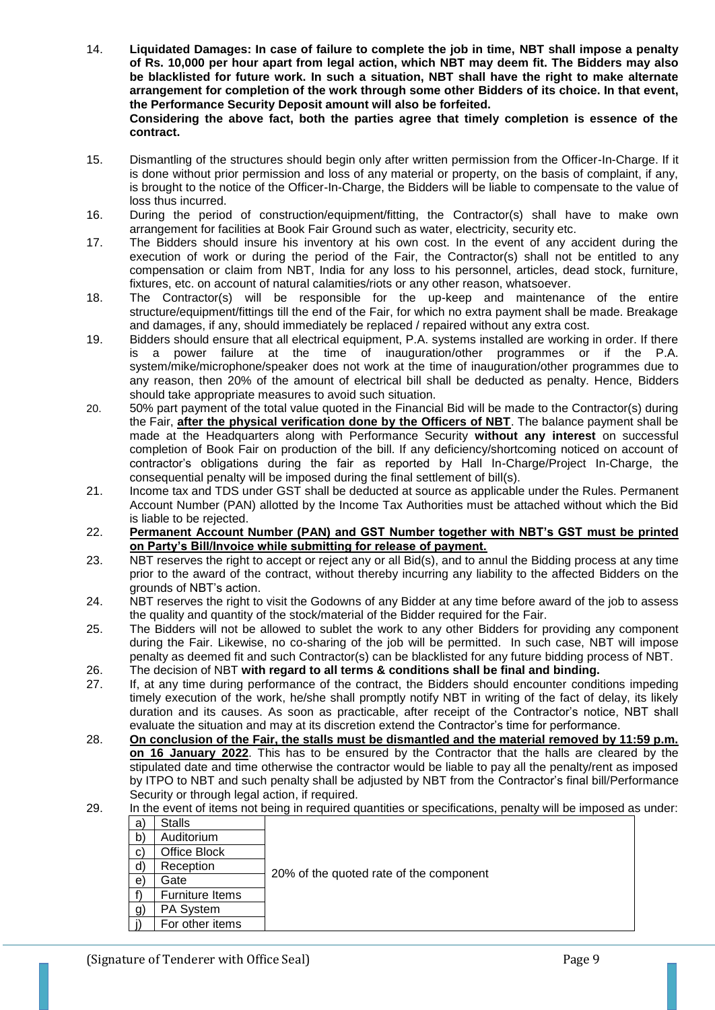- 14. **Liquidated Damages: In case of failure to complete the job in time, NBT shall impose a penalty of Rs. 10,000 per hour apart from legal action, which NBT may deem fit. The Bidders may also be blacklisted for future work. In such a situation, NBT shall have the right to make alternate arrangement for completion of the work through some other Bidders of its choice. In that event, the Performance Security Deposit amount will also be forfeited. Considering the above fact, both the parties agree that timely completion is essence of the contract.**
- 15. Dismantling of the structures should begin only after written permission from the Officer-In-Charge. If it is done without prior permission and loss of any material or property, on the basis of complaint, if any, is brought to the notice of the Officer-In-Charge, the Bidders will be liable to compensate to the value of loss thus incurred.
- 16. During the period of construction/equipment/fitting, the Contractor(s) shall have to make own arrangement for facilities at Book Fair Ground such as water, electricity, security etc.
- 17. The Bidders should insure his inventory at his own cost. In the event of any accident during the execution of work or during the period of the Fair, the Contractor(s) shall not be entitled to any compensation or claim from NBT, India for any loss to his personnel, articles, dead stock, furniture, fixtures, etc. on account of natural calamities/riots or any other reason, whatsoever.
- 18. The Contractor(s) will be responsible for the up-keep and maintenance of the entire structure/equipment/fittings till the end of the Fair, for which no extra payment shall be made. Breakage and damages, if any, should immediately be replaced / repaired without any extra cost.
- 19. Bidders should ensure that all electrical equipment, P.A. systems installed are working in order. If there is a power failure at the time of inauguration/other programmes or if the P.A. system/mike/microphone/speaker does not work at the time of inauguration/other programmes due to any reason, then 20% of the amount of electrical bill shall be deducted as penalty. Hence, Bidders should take appropriate measures to avoid such situation.
- 20. 50% part payment of the total value quoted in the Financial Bid will be made to the Contractor(s) during the Fair, **after the physical verification done by the Officers of NBT**. The balance payment shall be made at the Headquarters along with Performance Security **without any interest** on successful completion of Book Fair on production of the bill. If any deficiency/shortcoming noticed on account of contractor's obligations during the fair as reported by Hall In-Charge/Project In-Charge, the consequential penalty will be imposed during the final settlement of bill(s).
- 21. Income tax and TDS under GST shall be deducted at source as applicable under the Rules. Permanent Account Number (PAN) allotted by the Income Tax Authorities must be attached without which the Bid is liable to be rejected.
- 22. **Permanent Account Number (PAN) and GST Number together with NBT's GST must be printed on Party's Bill/Invoice while submitting for release of payment.**
- 23. NBT reserves the right to accept or reject any or all Bid(s), and to annul the Bidding process at any time prior to the award of the contract, without thereby incurring any liability to the affected Bidders on the grounds of NBT's action.
- 24. NBT reserves the right to visit the Godowns of any Bidder at any time before award of the job to assess the quality and quantity of the stock/material of the Bidder required for the Fair.
- 25. The Bidders will not be allowed to sublet the work to any other Bidders for providing any component during the Fair. Likewise, no co-sharing of the job will be permitted. In such case, NBT will impose penalty as deemed fit and such Contractor(s) can be blacklisted for any future bidding process of NBT.
- 26. The decision of NBT **with regard to all terms & conditions shall be final and binding.**
- 27. If, at any time during performance of the contract, the Bidders should encounter conditions impeding timely execution of the work, he/she shall promptly notify NBT in writing of the fact of delay, its likely duration and its causes. As soon as practicable, after receipt of the Contractor's notice, NBT shall evaluate the situation and may at its discretion extend the Contractor's time for performance.
- 28. **On conclusion of the Fair, the stalls must be dismantled and the material removed by 11:59 p.m. on 16 January 2022**. This has to be ensured by the Contractor that the halls are cleared by the stipulated date and time otherwise the contractor would be liable to pay all the penalty/rent as imposed by ITPO to NBT and such penalty shall be adjusted by NBT from the Contractor's final bill/Performance Security or through legal action, if required.

# 29. In the event of items not being in required quantities or specifications, penalty will be imposed as under:

| a)           | <b>Stalls</b>   |                                         |
|--------------|-----------------|-----------------------------------------|
| b)           | Auditorium      |                                         |
| $\mathbf{C}$ | Office Block    |                                         |
| $\mathsf{d}$ | Reception       |                                         |
| e)           | Gate            | 20% of the quoted rate of the component |
|              | Furniture Items |                                         |
| g)           | PA System       |                                         |
|              | For other items |                                         |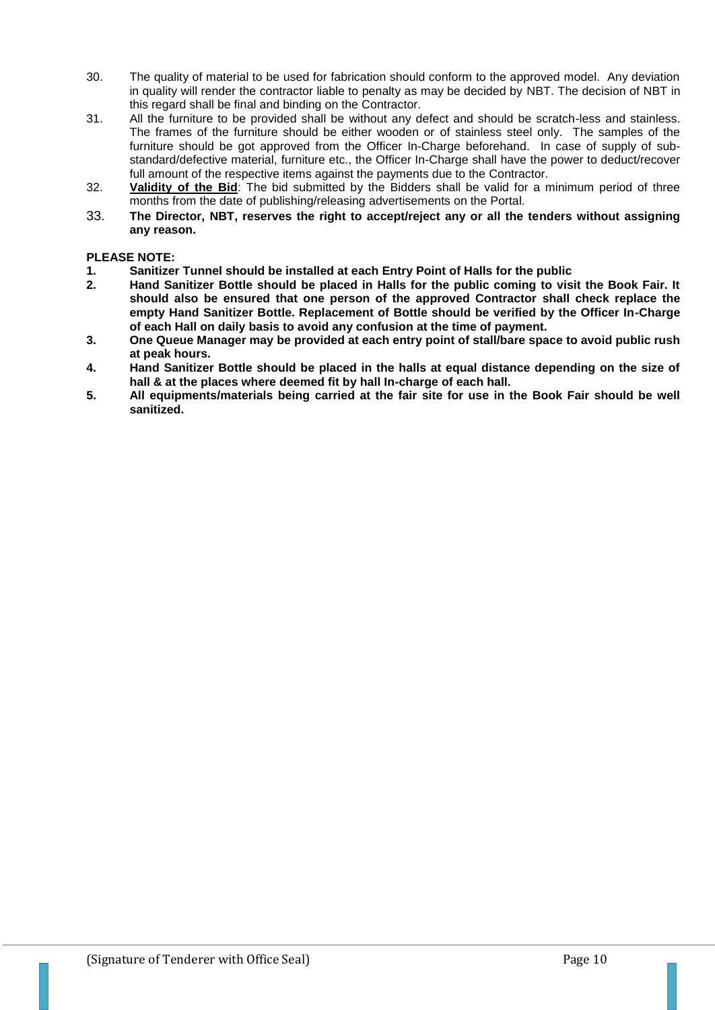- 30. The quality of material to be used for fabrication should conform to the approved model. Any deviation in quality will render the contractor liable to penalty as may be decided by NBT. The decision of NBT in this regard shall be final and binding on the Contractor.
- 31. All the furniture to be provided shall be without any defect and should be scratch-less and stainless. The frames of the furniture should be either wooden or of stainless steel only. The samples of the furniture should be got approved from the Officer In-Charge beforehand. In case of supply of substandard/defective material, furniture etc., the Officer In-Charge shall have the power to deduct/recover full amount of the respective items against the payments due to the Contractor.
- 32. **Validity of the Bid**: The bid submitted by the Bidders shall be valid for a minimum period of three months from the date of publishing/releasing advertisements on the Portal.
- 33. **The Director, NBT, reserves the right to accept/reject any or all the tenders without assigning any reason.**

## **PLEASE NOTE:**

- **1. Sanitizer Tunnel should be installed at each Entry Point of Halls for the public**
- **2. Hand Sanitizer Bottle should be placed in Halls for the public coming to visit the Book Fair. It should also be ensured that one person of the approved Contractor shall check replace the empty Hand Sanitizer Bottle. Replacement of Bottle should be verified by the Officer In-Charge of each Hall on daily basis to avoid any confusion at the time of payment.**
- **3. One Queue Manager may be provided at each entry point of stall/bare space to avoid public rush at peak hours.**
- **4. Hand Sanitizer Bottle should be placed in the halls at equal distance depending on the size of hall & at the places where deemed fit by hall In-charge of each hall.**
- **5. All equipments/materials being carried at the fair site for use in the Book Fair should be well sanitized.**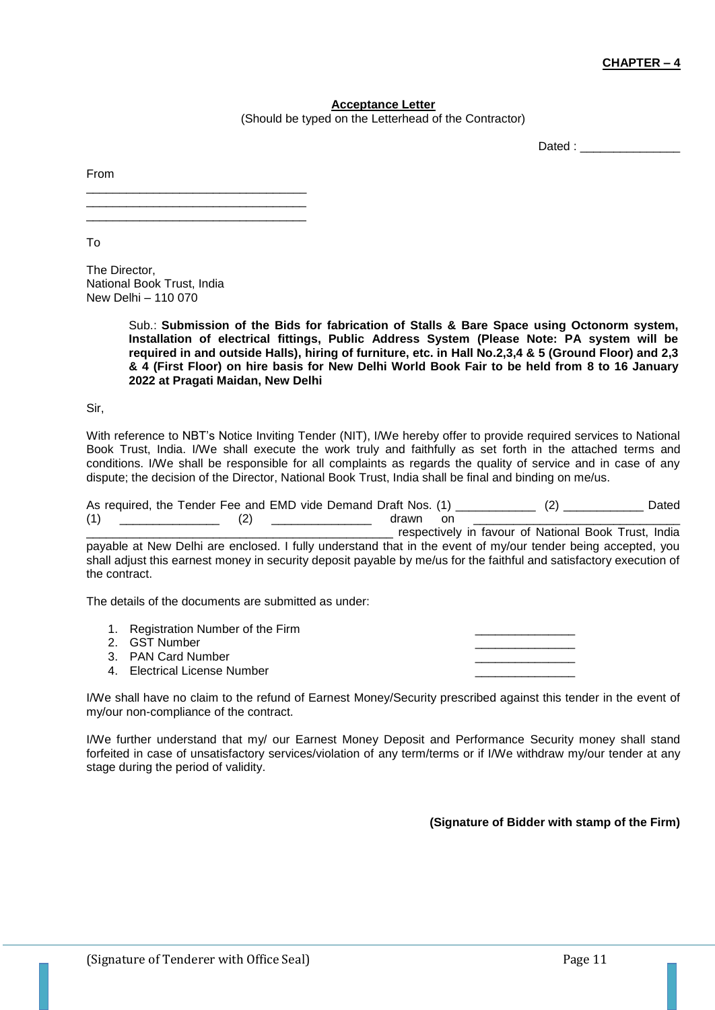## **CHAPTER – 4**

#### **Acceptance Letter**

(Should be typed on the Letterhead of the Contractor)

Dated : \_\_\_\_\_\_\_\_\_\_\_\_\_\_\_

From

\_\_\_\_\_\_\_\_\_\_\_\_\_\_\_\_\_\_\_\_\_\_\_\_\_\_\_\_\_\_\_\_\_ \_\_\_\_\_\_\_\_\_\_\_\_\_\_\_\_\_\_\_\_\_\_\_\_\_\_\_\_\_\_\_\_\_ \_\_\_\_\_\_\_\_\_\_\_\_\_\_\_\_\_\_\_\_\_\_\_\_\_\_\_\_\_\_\_\_\_

To

The Director, National Book Trust, India New Delhi – 110 070

> Sub.: **Submission of the Bids for fabrication of Stalls & Bare Space using Octonorm system, Installation of electrical fittings, Public Address System (Please Note: PA system will be required in and outside Halls), hiring of furniture, etc. in Hall No.2,3,4 & 5 (Ground Floor) and 2,3 & 4 (First Floor) on hire basis for New Delhi World Book Fair to be held from 8 to 16 January 2022 at Pragati Maidan, New Delhi**

Sir,

With reference to NBT's Notice Inviting Tender (NIT), I/We hereby offer to provide required services to National Book Trust, India. I/We shall execute the work truly and faithfully as set forth in the attached terms and conditions. I/We shall be responsible for all complaints as regards the quality of service and in case of any dispute; the decision of the Director, National Book Trust, India shall be final and binding on me/us.

|     | As required, the Tender Fee and EMD vide Demand Draft Nos. (1) |                                                   | Dated |
|-----|----------------------------------------------------------------|---------------------------------------------------|-------|
| (1) | drawn                                                          | regular the fourth of Noticeal Deal: Tweet, India |       |

\_\_\_\_\_\_\_\_\_\_\_\_\_\_\_\_\_\_\_\_\_\_\_\_\_\_\_\_\_\_\_\_\_\_\_\_\_\_\_\_\_\_\_\_\_\_ respectively in favour of National Book Trust, India payable at New Delhi are enclosed. I fully understand that in the event of my/our tender being accepted, you shall adjust this earnest money in security deposit payable by me/us for the faithful and satisfactory execution of the contract.

The details of the documents are submitted as under:

1. Registration Number of the Firm 2. GST Number 3. PAN Card Number 4. Electrical License Number

I/We shall have no claim to the refund of Earnest Money/Security prescribed against this tender in the event of my/our non-compliance of the contract.

I/We further understand that my/ our Earnest Money Deposit and Performance Security money shall stand forfeited in case of unsatisfactory services/violation of any term/terms or if I/We withdraw my/our tender at any stage during the period of validity.

**(Signature of Bidder with stamp of the Firm)**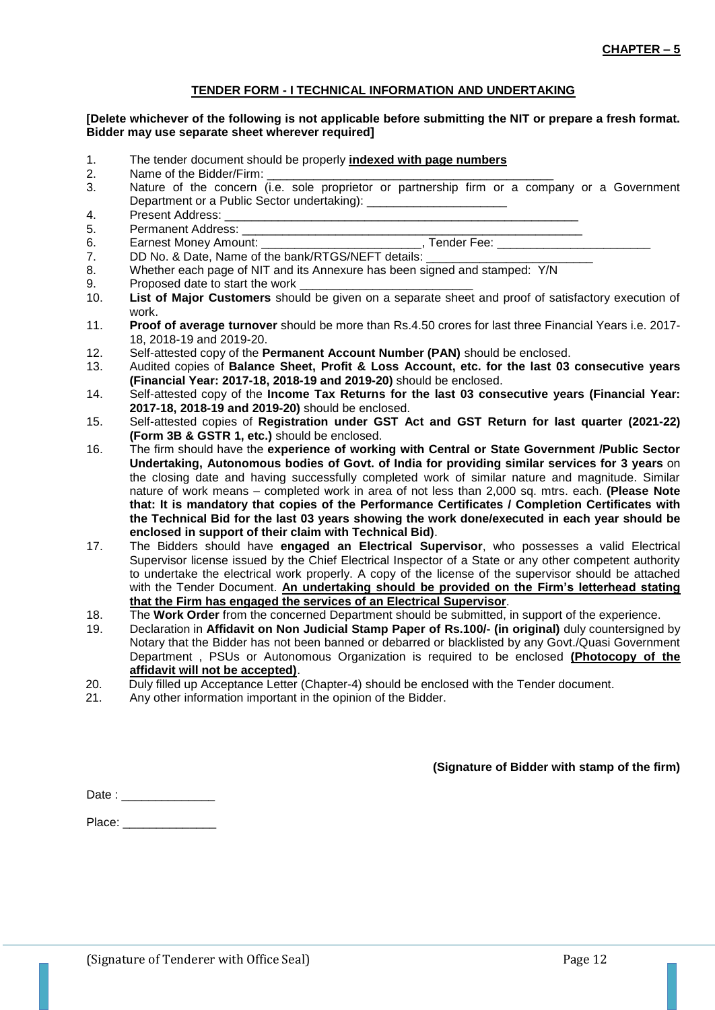## **TENDER FORM - I TECHNICAL INFORMATION AND UNDERTAKING**

#### **[Delete whichever of the following is not applicable before submitting the NIT or prepare a fresh format. Bidder may use separate sheet wherever required]**

- 1. The tender document should be properly **indexed with page numbers**
- 2. Name of the Bidder/Firm:
- 3. Nature of the concern (i.e. sole proprietor or partnership firm or a company or a Government Department or a Public Sector undertaking):
- 4. Present Address:
- 5. Permanent Address:
- 6. Earnest Money Amount: etc. and the set of the Security Tender Fee:  $\overline{a}$
- 7. DD No. & Date, Name of the bank/RTGS/NEFT details:
- 8. Whether each page of NIT and its Annexure has been signed and stamped: Y/N<br>9. Proposed date to start the work
- Proposed date to start the work
- 10. **List of Major Customers** should be given on a separate sheet and proof of satisfactory execution of work.
- 11. **Proof of average turnover** should be more than Rs.4.50 crores for last three Financial Years i.e. 2017- 18, 2018-19 and 2019-20.
- 12. Self-attested copy of the **Permanent Account Number (PAN)** should be enclosed.
- 13. Audited copies of **Balance Sheet, Profit & Loss Account, etc. for the last 03 consecutive years (Financial Year: 2017-18, 2018-19 and 2019-20)** should be enclosed.
- 14. Self-attested copy of the **Income Tax Returns for the last 03 consecutive years (Financial Year: 2017-18, 2018-19 and 2019-20)** should be enclosed.
- 15. Self-attested copies of **Registration under GST Act and GST Return for last quarter (2021-22) (Form 3B & GSTR 1, etc.)** should be enclosed.
- 16. The firm should have the **experience of working with Central or State Government /Public Sector Undertaking, Autonomous bodies of Govt. of India for providing similar services for 3 years** on the closing date and having successfully completed work of similar nature and magnitude. Similar nature of work means – completed work in area of not less than 2,000 sq. mtrs. each. **(Please Note that: It is mandatory that copies of the Performance Certificates / Completion Certificates with the Technical Bid for the last 03 years showing the work done/executed in each year should be enclosed in support of their claim with Technical Bid)**.
- 17. The Bidders should have **engaged an Electrical Supervisor**, who possesses a valid Electrical Supervisor license issued by the Chief Electrical Inspector of a State or any other competent authority to undertake the electrical work properly. A copy of the license of the supervisor should be attached with the Tender Document. **An undertaking should be provided on the Firm's letterhead stating that the Firm has engaged the services of an Electrical Supervisor**.
- 18. The **Work Order** from the concerned Department should be submitted, in support of the experience.
- 19. Declaration in **Affidavit on Non Judicial Stamp Paper of Rs.100/- (in original)** duly countersigned by Notary that the Bidder has not been banned or debarred or blacklisted by any Govt./Quasi Government Department , PSUs or Autonomous Organization is required to be enclosed **(Photocopy of the affidavit will not be accepted)**.
- 20. Duly filled up Acceptance Letter (Chapter-4) should be enclosed with the Tender document.
- 21. Any other information important in the opinion of the Bidder.

**(Signature of Bidder with stamp of the firm)**

| Date: |
|-------|
|       |

Place: \_\_\_\_\_\_\_\_\_\_\_\_\_\_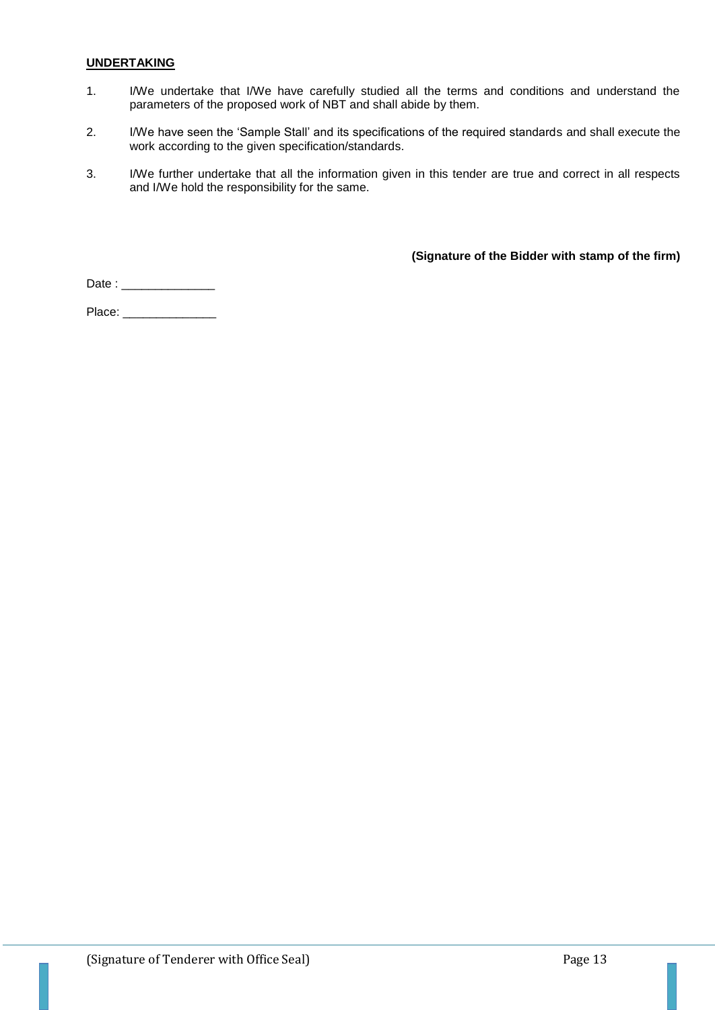#### **UNDERTAKING**

- 1. I/We undertake that I/We have carefully studied all the terms and conditions and understand the parameters of the proposed work of NBT and shall abide by them.
- 2. I/We have seen the 'Sample Stall' and its specifications of the required standards and shall execute the work according to the given specification/standards.
- 3. I/We further undertake that all the information given in this tender are true and correct in all respects and I/We hold the responsibility for the same.

**(Signature of the Bidder with stamp of the firm)**

Date : \_\_\_\_\_\_\_\_\_\_\_\_\_\_

Place: \_\_\_\_\_\_\_\_\_\_\_\_\_\_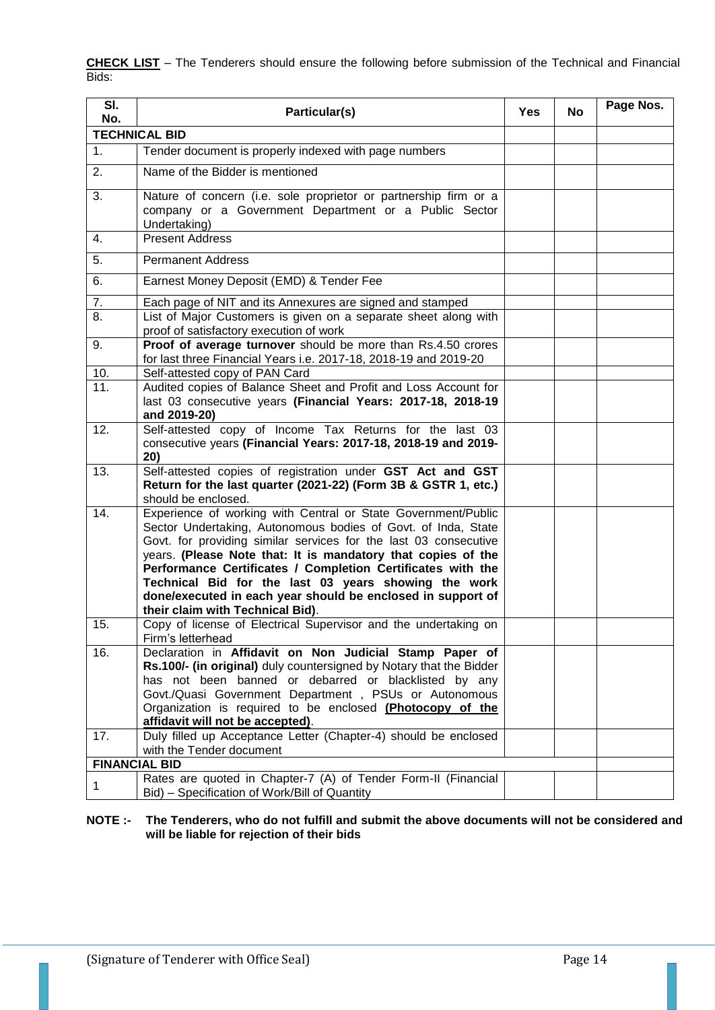**CHECK LIST** – The Tenderers should ensure the following before submission of the Technical and Financial Bids:

| SI.<br>No.           | Particular(s)                                                                                                                                                                                                                                                                                                                                                                                                                                                                                | <b>Yes</b> | No | Page Nos. |  |  |
|----------------------|----------------------------------------------------------------------------------------------------------------------------------------------------------------------------------------------------------------------------------------------------------------------------------------------------------------------------------------------------------------------------------------------------------------------------------------------------------------------------------------------|------------|----|-----------|--|--|
| <b>TECHNICAL BID</b> |                                                                                                                                                                                                                                                                                                                                                                                                                                                                                              |            |    |           |  |  |
| 1 <sub>1</sub>       | Tender document is properly indexed with page numbers                                                                                                                                                                                                                                                                                                                                                                                                                                        |            |    |           |  |  |
| 2.                   | Name of the Bidder is mentioned                                                                                                                                                                                                                                                                                                                                                                                                                                                              |            |    |           |  |  |
| 3.                   | Nature of concern (i.e. sole proprietor or partnership firm or a<br>company or a Government Department or a Public Sector<br>Undertaking)                                                                                                                                                                                                                                                                                                                                                    |            |    |           |  |  |
| 4.                   | <b>Present Address</b>                                                                                                                                                                                                                                                                                                                                                                                                                                                                       |            |    |           |  |  |
| 5.                   | <b>Permanent Address</b>                                                                                                                                                                                                                                                                                                                                                                                                                                                                     |            |    |           |  |  |
| 6.                   | Earnest Money Deposit (EMD) & Tender Fee                                                                                                                                                                                                                                                                                                                                                                                                                                                     |            |    |           |  |  |
| 7.                   | Each page of NIT and its Annexures are signed and stamped                                                                                                                                                                                                                                                                                                                                                                                                                                    |            |    |           |  |  |
| 8.                   | List of Major Customers is given on a separate sheet along with<br>proof of satisfactory execution of work                                                                                                                                                                                                                                                                                                                                                                                   |            |    |           |  |  |
| 9.                   | Proof of average turnover should be more than Rs.4.50 crores<br>for last three Financial Years i.e. 2017-18, 2018-19 and 2019-20                                                                                                                                                                                                                                                                                                                                                             |            |    |           |  |  |
| 10.                  | Self-attested copy of PAN Card                                                                                                                                                                                                                                                                                                                                                                                                                                                               |            |    |           |  |  |
| 11.                  | Audited copies of Balance Sheet and Profit and Loss Account for<br>last 03 consecutive years (Financial Years: 2017-18, 2018-19<br>and 2019-20)                                                                                                                                                                                                                                                                                                                                              |            |    |           |  |  |
| 12.                  | Self-attested copy of Income Tax Returns for the last 03<br>consecutive years (Financial Years: 2017-18, 2018-19 and 2019-<br>20)                                                                                                                                                                                                                                                                                                                                                            |            |    |           |  |  |
| 13.                  | Self-attested copies of registration under GST Act and GST<br>Return for the last quarter (2021-22) (Form 3B & GSTR 1, etc.)<br>should be enclosed.                                                                                                                                                                                                                                                                                                                                          |            |    |           |  |  |
| 14.                  | Experience of working with Central or State Government/Public<br>Sector Undertaking, Autonomous bodies of Govt. of Inda, State<br>Govt. for providing similar services for the last 03 consecutive<br>years. (Please Note that: It is mandatory that copies of the<br>Performance Certificates / Completion Certificates with the<br>Technical Bid for the last 03 years showing the work<br>done/executed in each year should be enclosed in support of<br>their claim with Technical Bid). |            |    |           |  |  |
| 15.                  | Copy of license of Electrical Supervisor and the undertaking on<br>Firm's letterhead                                                                                                                                                                                                                                                                                                                                                                                                         |            |    |           |  |  |
| 16.                  | Declaration in Affidavit on Non Judicial Stamp Paper of<br>Rs.100/- (in original) duly countersigned by Notary that the Bidder<br>has not been banned or debarred or blacklisted by any<br>Govt./Quasi Government Department, PSUs or Autonomous<br>Organization is required to be enclosed (Photocopy of the<br>affidavit will not be accepted).                                                                                                                                            |            |    |           |  |  |
| 17.                  | Duly filled up Acceptance Letter (Chapter-4) should be enclosed<br>with the Tender document                                                                                                                                                                                                                                                                                                                                                                                                  |            |    |           |  |  |
| <b>FINANCIAL BID</b> |                                                                                                                                                                                                                                                                                                                                                                                                                                                                                              |            |    |           |  |  |
| $\mathbf 1$          | Rates are quoted in Chapter-7 (A) of Tender Form-II (Financial<br>Bid) – Specification of Work/Bill of Quantity                                                                                                                                                                                                                                                                                                                                                                              |            |    |           |  |  |

**NOTE :- The Tenderers, who do not fulfill and submit the above documents will not be considered and will be liable for rejection of their bids**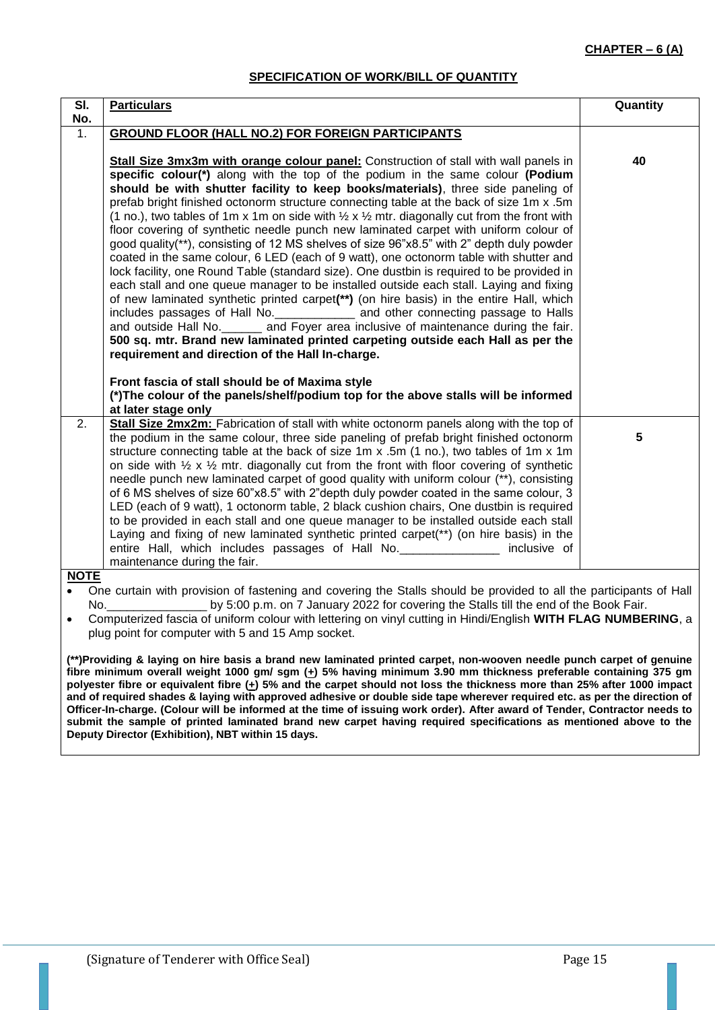## **SPECIFICATION OF WORK/BILL OF QUANTITY**

| SI.         | <b>Particulars</b>                                                                                                                                                                                                                                                                                                      | Quantity |  |  |  |
|-------------|-------------------------------------------------------------------------------------------------------------------------------------------------------------------------------------------------------------------------------------------------------------------------------------------------------------------------|----------|--|--|--|
| No.         |                                                                                                                                                                                                                                                                                                                         |          |  |  |  |
| 1.          | <b>GROUND FLOOR (HALL NO.2) FOR FOREIGN PARTICIPANTS</b>                                                                                                                                                                                                                                                                |          |  |  |  |
|             |                                                                                                                                                                                                                                                                                                                         |          |  |  |  |
|             | Stall Size 3mx3m with orange colour panel: Construction of stall with wall panels in                                                                                                                                                                                                                                    | 40       |  |  |  |
|             | specific colour(*) along with the top of the podium in the same colour (Podium                                                                                                                                                                                                                                          |          |  |  |  |
|             | should be with shutter facility to keep books/materials), three side paneling of                                                                                                                                                                                                                                        |          |  |  |  |
|             | prefab bright finished octonorm structure connecting table at the back of size 1m x.5m<br>(1 no.), two tables of 1m x 1m on side with $\frac{1}{2}$ x $\frac{1}{2}$ mtr. diagonally cut from the front with                                                                                                             |          |  |  |  |
|             | floor covering of synthetic needle punch new laminated carpet with uniform colour of                                                                                                                                                                                                                                    |          |  |  |  |
|             | good quality(**), consisting of 12 MS shelves of size 96"x8.5" with 2" depth duly powder                                                                                                                                                                                                                                |          |  |  |  |
|             | coated in the same colour, 6 LED (each of 9 watt), one octonorm table with shutter and                                                                                                                                                                                                                                  |          |  |  |  |
|             | lock facility, one Round Table (standard size). One dustbin is required to be provided in                                                                                                                                                                                                                               |          |  |  |  |
|             | each stall and one queue manager to be installed outside each stall. Laying and fixing                                                                                                                                                                                                                                  |          |  |  |  |
|             | of new laminated synthetic printed carpet(**) (on hire basis) in the entire Hall, which                                                                                                                                                                                                                                 |          |  |  |  |
|             | includes passages of Hall No. ______________ and other connecting passage to Halls                                                                                                                                                                                                                                      |          |  |  |  |
|             | and outside Hall No. _______ and Foyer area inclusive of maintenance during the fair.                                                                                                                                                                                                                                   |          |  |  |  |
|             | 500 sq. mtr. Brand new laminated printed carpeting outside each Hall as per the<br>requirement and direction of the Hall In-charge.                                                                                                                                                                                     |          |  |  |  |
|             |                                                                                                                                                                                                                                                                                                                         |          |  |  |  |
|             | Front fascia of stall should be of Maxima style                                                                                                                                                                                                                                                                         |          |  |  |  |
|             | (*) The colour of the panels/shelf/podium top for the above stalls will be informed                                                                                                                                                                                                                                     |          |  |  |  |
|             | at later stage only                                                                                                                                                                                                                                                                                                     |          |  |  |  |
| 2.          | Stall Size 2mx2m: Fabrication of stall with white octonorm panels along with the top of                                                                                                                                                                                                                                 |          |  |  |  |
|             | the podium in the same colour, three side paneling of prefab bright finished octonorm                                                                                                                                                                                                                                   | 5        |  |  |  |
|             | structure connecting table at the back of size 1m x .5m (1 no.), two tables of 1m x 1m                                                                                                                                                                                                                                  |          |  |  |  |
|             | on side with $\frac{1}{2} \times \frac{1}{2}$ mtr. diagonally cut from the front with floor covering of synthetic                                                                                                                                                                                                       |          |  |  |  |
|             | needle punch new laminated carpet of good quality with uniform colour (**), consisting                                                                                                                                                                                                                                  |          |  |  |  |
|             | of 6 MS shelves of size 60"x8.5" with 2"depth duly powder coated in the same colour, 3                                                                                                                                                                                                                                  |          |  |  |  |
|             | LED (each of 9 watt), 1 octonorm table, 2 black cushion chairs, One dustbin is required<br>to be provided in each stall and one queue manager to be installed outside each stall                                                                                                                                        |          |  |  |  |
|             | Laying and fixing of new laminated synthetic printed carpet(**) (on hire basis) in the                                                                                                                                                                                                                                  |          |  |  |  |
|             | entire Hall, which includes passages of Hall No. ________________ inclusive of                                                                                                                                                                                                                                          |          |  |  |  |
|             | maintenance during the fair.                                                                                                                                                                                                                                                                                            |          |  |  |  |
| <b>NOTE</b> |                                                                                                                                                                                                                                                                                                                         |          |  |  |  |
|             | One curtain with provision of fastening and covering the Stalls should be provided to all the participants of Hall                                                                                                                                                                                                      |          |  |  |  |
|             | by 5:00 p.m. on 7 January 2022 for covering the Stalls till the end of the Book Fair.<br>No. And the contract of the contract of the contract of the contract of the contract of the contract of the contract of the contract of the contract of the contract of the contract of the contract of the contract of the co |          |  |  |  |
|             | Computerized fascia of uniform colour with lettering on vinyl cutting in Hindi/English WITH FLAG NUMBERING, a                                                                                                                                                                                                           |          |  |  |  |

plug point for computer with 5 and 15 Amp socket.

**(\*\*)Providing & laying on hire basis a brand new laminated printed carpet, non-wooven needle punch carpet of genuine**  fibre minimum overall weight 1000 gm/ sgm ( $\pm$ ) 5% having minimum 3.90 mm thickness preferable containing 375 gm **polyester fibre or equivalent fibre (+) 5% and the carpet should not loss the thickness more than 25% after 1000 impact and of required shades & laying with approved adhesive or double side tape wherever required etc. as per the direction of Officer-In-charge. (Colour will be informed at the time of issuing work order). After award of Tender, Contractor needs to submit the sample of printed laminated brand new carpet having required specifications as mentioned above to the Deputy Director (Exhibition), NBT within 15 days.**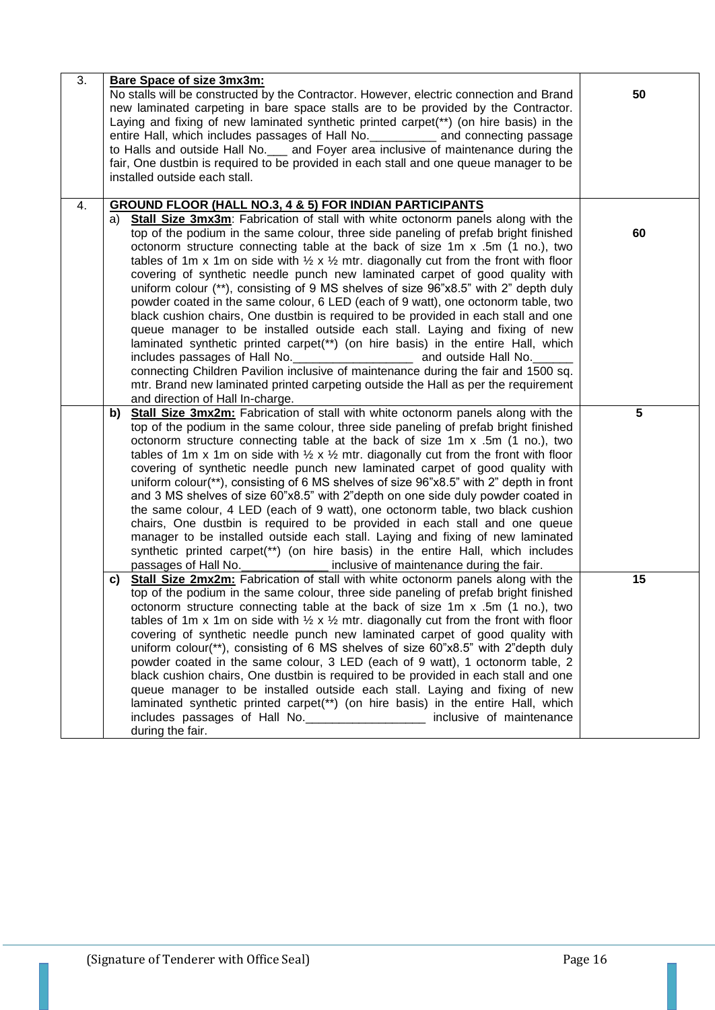| 3. | <b>Bare Space of size 3mx3m:</b><br>No stalls will be constructed by the Contractor. However, electric connection and Brand<br>new laminated carpeting in bare space stalls are to be provided by the Contractor.<br>Laying and fixing of new laminated synthetic printed carpet(**) (on hire basis) in the<br>entire Hall, which includes passages of Hall No. ____________ and connecting passage<br>to Halls and outside Hall No. __ and Foyer area inclusive of maintenance during the<br>fair, One dustbin is required to be provided in each stall and one queue manager to be<br>installed outside each stall.                                                                                                                                                                                                                                                                                                                                                                                                                                                                                                                                                                                                                                              | 50 |
|----|--------------------------------------------------------------------------------------------------------------------------------------------------------------------------------------------------------------------------------------------------------------------------------------------------------------------------------------------------------------------------------------------------------------------------------------------------------------------------------------------------------------------------------------------------------------------------------------------------------------------------------------------------------------------------------------------------------------------------------------------------------------------------------------------------------------------------------------------------------------------------------------------------------------------------------------------------------------------------------------------------------------------------------------------------------------------------------------------------------------------------------------------------------------------------------------------------------------------------------------------------------------------|----|
| 4. | <b>GROUND FLOOR (HALL NO.3, 4 &amp; 5) FOR INDIAN PARTICIPANTS</b><br>a) Stall Size 3mx3m: Fabrication of stall with white octonorm panels along with the<br>top of the podium in the same colour, three side paneling of prefab bright finished<br>octonorm structure connecting table at the back of size 1m x .5m (1 no.), two<br>tables of 1m x 1m on side with $\frac{1}{2}$ x $\frac{1}{2}$ mtr. diagonally cut from the front with floor<br>covering of synthetic needle punch new laminated carpet of good quality with<br>uniform colour (**), consisting of 9 MS shelves of size 96"x8.5" with 2" depth duly<br>powder coated in the same colour, 6 LED (each of 9 watt), one octonorm table, two<br>black cushion chairs, One dustbin is required to be provided in each stall and one<br>queue manager to be installed outside each stall. Laying and fixing of new<br>laminated synthetic printed carpet(**) (on hire basis) in the entire Hall, which<br>includes passages of Hall No. ________________________ and outside Hall No.<br>connecting Children Pavilion inclusive of maintenance during the fair and 1500 sq.<br>mtr. Brand new laminated printed carpeting outside the Hall as per the requirement<br>and direction of Hall In-charge. | 60 |
|    | b) Stall Size 3mx2m: Fabrication of stall with white octonorm panels along with the<br>top of the podium in the same colour, three side paneling of prefab bright finished<br>octonorm structure connecting table at the back of size 1m x .5m (1 no.), two<br>tables of 1m x 1m on side with $\frac{1}{2}$ x $\frac{1}{2}$ mtr. diagonally cut from the front with floor<br>covering of synthetic needle punch new laminated carpet of good quality with<br>uniform colour(**), consisting of 6 MS shelves of size 96"x8.5" with 2" depth in front<br>and 3 MS shelves of size 60"x8.5" with 2"depth on one side duly powder coated in<br>the same colour, 4 LED (each of 9 watt), one octonorm table, two black cushion<br>chairs, One dustbin is required to be provided in each stall and one queue<br>manager to be installed outside each stall. Laying and fixing of new laminated<br>synthetic printed carpet(**) (on hire basis) in the entire Hall, which includes<br>passages of Hall No.<br>inclusive of maintenance during the fair.                                                                                                                                                                                                                  | 5  |
|    | Stall Size 2mx2m: Fabrication of stall with white octonorm panels along with the<br>C)<br>top of the podium in the same colour, three side paneling of prefab bright finished<br>octonorm structure connecting table at the back of size 1m x .5m (1 no.), two<br>tables of 1m x 1m on side with $\frac{1}{2}$ x $\frac{1}{2}$ mtr. diagonally cut from the front with floor<br>covering of synthetic needle punch new laminated carpet of good quality with<br>uniform colour(**), consisting of 6 MS shelves of size 60"x8.5" with 2"depth duly<br>powder coated in the same colour, 3 LED (each of 9 watt), 1 octonorm table, 2<br>black cushion chairs, One dustbin is required to be provided in each stall and one<br>queue manager to be installed outside each stall. Laying and fixing of new<br>laminated synthetic printed carpet(**) (on hire basis) in the entire Hall, which<br>includes passages of Hall No. ___________________ inclusive of maintenance<br>during the fair.                                                                                                                                                                                                                                                                       | 15 |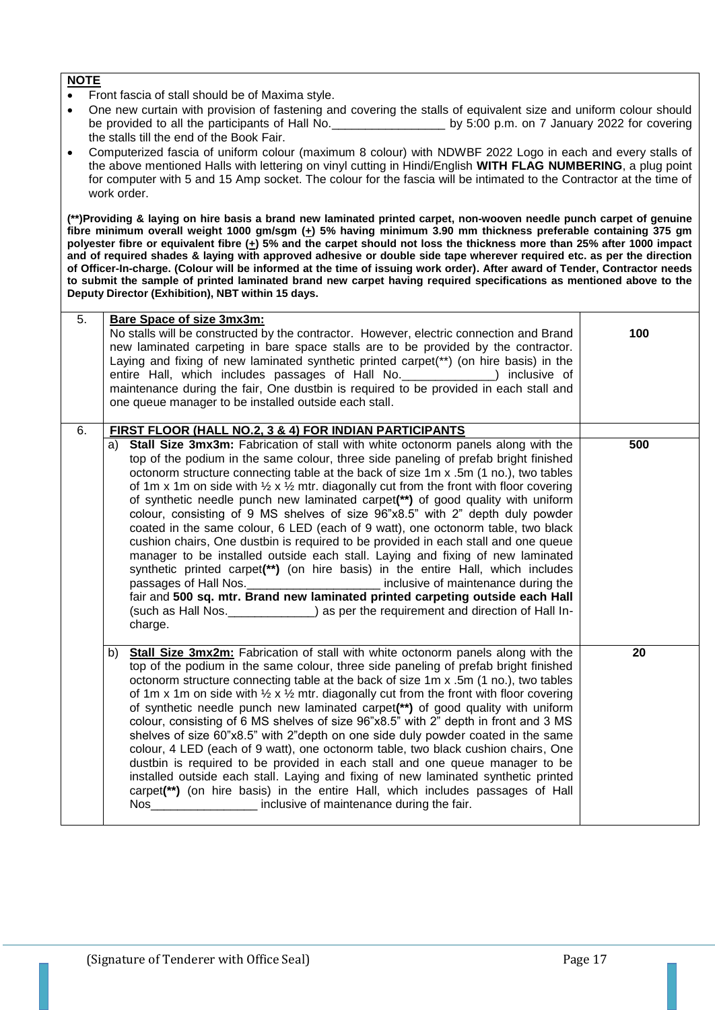- Front fascia of stall should be of Maxima style.
- One new curtain with provision of fastening and covering the stalls of equivalent size and uniform colour should be provided to all the participants of Hall No. \_\_\_\_\_\_\_\_\_\_\_\_\_\_\_\_\_\_\_\_\_\_\_\_\_ by 5:00 p.m. on 7 January 2022 for covering the stalls till the end of the Book Fair.
- Computerized fascia of uniform colour (maximum 8 colour) with NDWBF 2022 Logo in each and every stalls of the above mentioned Halls with lettering on vinyl cutting in Hindi/English **WITH FLAG NUMBERING**, a plug point for computer with 5 and 15 Amp socket. The colour for the fascia will be intimated to the Contractor at the time of work order.

**(\*\*)Providing & laying on hire basis a brand new laminated printed carpet, non-wooven needle punch carpet of genuine fibre minimum overall weight 1000 gm/sgm (+) 5% having minimum 3.90 mm thickness preferable containing 375 gm polyester fibre or equivalent fibre (+) 5% and the carpet should not loss the thickness more than 25% after 1000 impact and of required shades & laying with approved adhesive or double side tape wherever required etc. as per the direction of Officer-In-charge. (Colour will be informed at the time of issuing work order). After award of Tender, Contractor needs to submit the sample of printed laminated brand new carpet having required specifications as mentioned above to the Deputy Director (Exhibition), NBT within 15 days.**

| 5. | <b>Bare Space of size 3mx3m:</b>                                                                                                                                                                                                                                                                                                                                                                                                                                                                                                                                                                                                                                                                                                                                                                                                                                                                                                                                                                                                                                                                                                                                                        |     |
|----|-----------------------------------------------------------------------------------------------------------------------------------------------------------------------------------------------------------------------------------------------------------------------------------------------------------------------------------------------------------------------------------------------------------------------------------------------------------------------------------------------------------------------------------------------------------------------------------------------------------------------------------------------------------------------------------------------------------------------------------------------------------------------------------------------------------------------------------------------------------------------------------------------------------------------------------------------------------------------------------------------------------------------------------------------------------------------------------------------------------------------------------------------------------------------------------------|-----|
|    | No stalls will be constructed by the contractor. However, electric connection and Brand<br>new laminated carpeting in bare space stalls are to be provided by the contractor.<br>Laying and fixing of new laminated synthetic printed carpet(**) (on hire basis) in the<br>entire Hall, which includes passages of Hall No. ______________) inclusive of<br>maintenance during the fair, One dustbin is required to be provided in each stall and<br>one queue manager to be installed outside each stall.                                                                                                                                                                                                                                                                                                                                                                                                                                                                                                                                                                                                                                                                              | 100 |
| 6. | FIRST FLOOR (HALL NO.2, 3 & 4) FOR INDIAN PARTICIPANTS                                                                                                                                                                                                                                                                                                                                                                                                                                                                                                                                                                                                                                                                                                                                                                                                                                                                                                                                                                                                                                                                                                                                  |     |
|    | <b>Stall Size 3mx3m:</b> Fabrication of stall with white octonorm panels along with the<br>a)<br>top of the podium in the same colour, three side paneling of prefab bright finished<br>octonorm structure connecting table at the back of size 1m x .5m (1 no.), two tables<br>of 1m x 1m on side with $\frac{1}{2}$ x $\frac{1}{2}$ mtr. diagonally cut from the front with floor covering<br>of synthetic needle punch new laminated carpet(**) of good quality with uniform<br>colour, consisting of 9 MS shelves of size 96"x8.5" with 2" depth duly powder<br>coated in the same colour, 6 LED (each of 9 watt), one octonorm table, two black<br>cushion chairs, One dustbin is required to be provided in each stall and one queue<br>manager to be installed outside each stall. Laying and fixing of new laminated<br>synthetic printed carpet(**) (on hire basis) in the entire Hall, which includes<br>passages of Hall Nos. ________________________ inclusive of maintenance during the<br>fair and 500 sq. mtr. Brand new laminated printed carpeting outside each Hall<br>(such as Hall Nos. _____________) as per the requirement and direction of Hall In-<br>charge. | 500 |
|    | <b>Stall Size 3mx2m:</b> Fabrication of stall with white octonorm panels along with the<br>b)<br>top of the podium in the same colour, three side paneling of prefab bright finished<br>octonorm structure connecting table at the back of size 1m x .5m (1 no.), two tables<br>of 1m x 1m on side with $\frac{1}{2}$ x $\frac{1}{2}$ mtr. diagonally cut from the front with floor covering<br>of synthetic needle punch new laminated carpet(**) of good quality with uniform<br>colour, consisting of 6 MS shelves of size 96"x8.5" with 2" depth in front and 3 MS<br>shelves of size 60"x8.5" with 2"depth on one side duly powder coated in the same<br>colour, 4 LED (each of 9 watt), one octonorm table, two black cushion chairs, One<br>dustbin is required to be provided in each stall and one queue manager to be<br>installed outside each stall. Laying and fixing of new laminated synthetic printed<br>carpet(**) (on hire basis) in the entire Hall, which includes passages of Hall<br>Nos _____________________ inclusive of maintenance during the fair.                                                                                                          | 20  |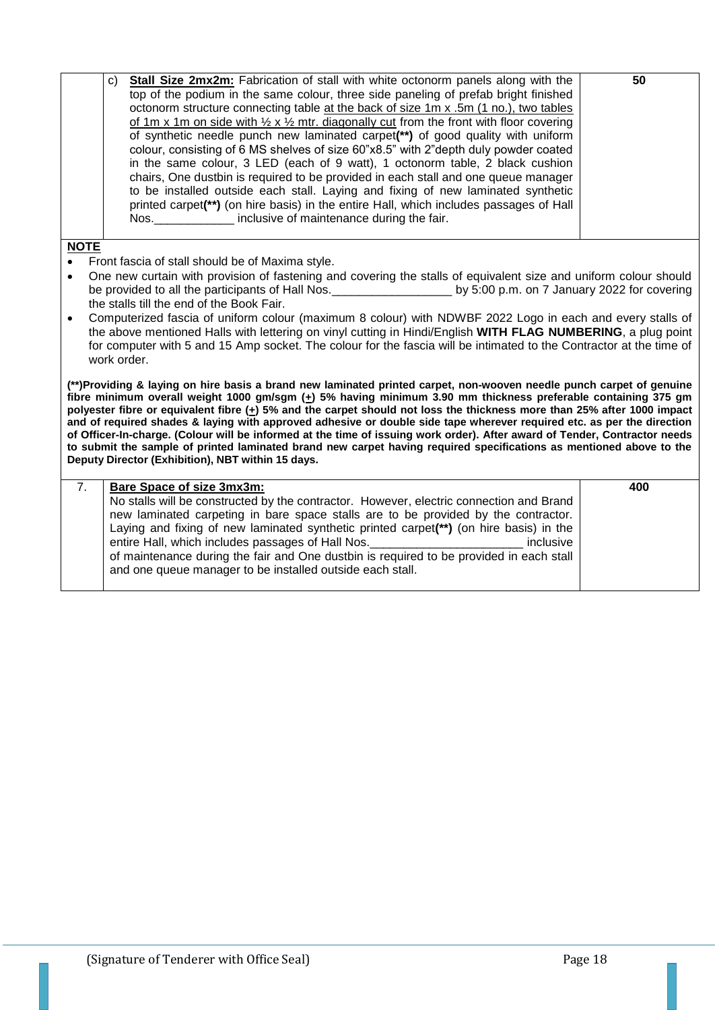|             | Stall Size 2mx2m: Fabrication of stall with white octonorm panels along with the<br>C)<br>top of the podium in the same colour, three side paneling of prefab bright finished<br>octonorm structure connecting table at the back of size 1m x .5m (1 no.), two tables<br>of 1m x 1m on side with $\frac{1}{2}$ x $\frac{1}{2}$ mtr. diagonally cut from the front with floor covering<br>of synthetic needle punch new laminated carpet(**) of good quality with uniform<br>colour, consisting of 6 MS shelves of size 60"x8.5" with 2"depth duly powder coated<br>in the same colour, 3 LED (each of 9 watt), 1 octonorm table, 2 black cushion<br>chairs, One dustbin is required to be provided in each stall and one queue manager<br>to be installed outside each stall. Laying and fixing of new laminated synthetic<br>printed carpet(**) (on hire basis) in the entire Hall, which includes passages of Hall<br>Nos. Mos. The inclusive of maintenance during the fair. | 50  |
|-------------|---------------------------------------------------------------------------------------------------------------------------------------------------------------------------------------------------------------------------------------------------------------------------------------------------------------------------------------------------------------------------------------------------------------------------------------------------------------------------------------------------------------------------------------------------------------------------------------------------------------------------------------------------------------------------------------------------------------------------------------------------------------------------------------------------------------------------------------------------------------------------------------------------------------------------------------------------------------------------------|-----|
| <b>NOTE</b> |                                                                                                                                                                                                                                                                                                                                                                                                                                                                                                                                                                                                                                                                                                                                                                                                                                                                                                                                                                                 |     |
| $\bullet$   | Front fascia of stall should be of Maxima style.                                                                                                                                                                                                                                                                                                                                                                                                                                                                                                                                                                                                                                                                                                                                                                                                                                                                                                                                |     |
| $\bullet$   | One new curtain with provision of fastening and covering the stalls of equivalent size and uniform colour should                                                                                                                                                                                                                                                                                                                                                                                                                                                                                                                                                                                                                                                                                                                                                                                                                                                                |     |
|             | be provided to all the participants of Hall Nos.<br>by 5:00 p.m. on 7 January 2022 for covering                                                                                                                                                                                                                                                                                                                                                                                                                                                                                                                                                                                                                                                                                                                                                                                                                                                                                 |     |
|             | the stalls till the end of the Book Fair.                                                                                                                                                                                                                                                                                                                                                                                                                                                                                                                                                                                                                                                                                                                                                                                                                                                                                                                                       |     |
| $\bullet$   | Computerized fascia of uniform colour (maximum 8 colour) with NDWBF 2022 Logo in each and every stalls of                                                                                                                                                                                                                                                                                                                                                                                                                                                                                                                                                                                                                                                                                                                                                                                                                                                                       |     |
|             | the above mentioned Halls with lettering on vinyl cutting in Hindi/English WITH FLAG NUMBERING, a plug point                                                                                                                                                                                                                                                                                                                                                                                                                                                                                                                                                                                                                                                                                                                                                                                                                                                                    |     |
|             | for computer with 5 and 15 Amp socket. The colour for the fascia will be intimated to the Contractor at the time of                                                                                                                                                                                                                                                                                                                                                                                                                                                                                                                                                                                                                                                                                                                                                                                                                                                             |     |
|             | work order.                                                                                                                                                                                                                                                                                                                                                                                                                                                                                                                                                                                                                                                                                                                                                                                                                                                                                                                                                                     |     |
|             |                                                                                                                                                                                                                                                                                                                                                                                                                                                                                                                                                                                                                                                                                                                                                                                                                                                                                                                                                                                 |     |
|             | (**)Providing & laying on hire basis a brand new laminated printed carpet, non-wooven needle punch carpet of genuine                                                                                                                                                                                                                                                                                                                                                                                                                                                                                                                                                                                                                                                                                                                                                                                                                                                            |     |
|             | fibre minimum overall weight 1000 gm/sgm $(+)$ 5% having minimum 3.90 mm thickness preferable containing 375 gm                                                                                                                                                                                                                                                                                                                                                                                                                                                                                                                                                                                                                                                                                                                                                                                                                                                                 |     |
|             | polyester fibre or equivalent fibre (+) 5% and the carpet should not loss the thickness more than 25% after 1000 impact<br>and of required shades & laying with approved adhesive or double side tape wherever required etc. as per the direction                                                                                                                                                                                                                                                                                                                                                                                                                                                                                                                                                                                                                                                                                                                               |     |
|             | of Officer-In-charge. (Colour will be informed at the time of issuing work order). After award of Tender, Contractor needs                                                                                                                                                                                                                                                                                                                                                                                                                                                                                                                                                                                                                                                                                                                                                                                                                                                      |     |
|             | to submit the sample of printed laminated brand new carpet having required specifications as mentioned above to the                                                                                                                                                                                                                                                                                                                                                                                                                                                                                                                                                                                                                                                                                                                                                                                                                                                             |     |
|             | Deputy Director (Exhibition), NBT within 15 days.                                                                                                                                                                                                                                                                                                                                                                                                                                                                                                                                                                                                                                                                                                                                                                                                                                                                                                                               |     |
|             |                                                                                                                                                                                                                                                                                                                                                                                                                                                                                                                                                                                                                                                                                                                                                                                                                                                                                                                                                                                 |     |
| 7.          | Bare Space of size 3mx3m:                                                                                                                                                                                                                                                                                                                                                                                                                                                                                                                                                                                                                                                                                                                                                                                                                                                                                                                                                       | 400 |
|             | No stalls will be constructed by the contractor. However, electric connection and Brand                                                                                                                                                                                                                                                                                                                                                                                                                                                                                                                                                                                                                                                                                                                                                                                                                                                                                         |     |
|             | new laminated carpeting in bare space stalls are to be provided by the contractor.                                                                                                                                                                                                                                                                                                                                                                                                                                                                                                                                                                                                                                                                                                                                                                                                                                                                                              |     |
|             | Laying and fixing of new laminated synthetic printed carpet(**) (on hire basis) in the                                                                                                                                                                                                                                                                                                                                                                                                                                                                                                                                                                                                                                                                                                                                                                                                                                                                                          |     |
|             | entire Hall, which includes passages of Hall Nos. ______________________________<br>inclusive<br>of maintenance during the fair and One dustbin is required to be provided in each stall                                                                                                                                                                                                                                                                                                                                                                                                                                                                                                                                                                                                                                                                                                                                                                                        |     |
|             | and one queue manager to be installed outside each stall.                                                                                                                                                                                                                                                                                                                                                                                                                                                                                                                                                                                                                                                                                                                                                                                                                                                                                                                       |     |
|             |                                                                                                                                                                                                                                                                                                                                                                                                                                                                                                                                                                                                                                                                                                                                                                                                                                                                                                                                                                                 |     |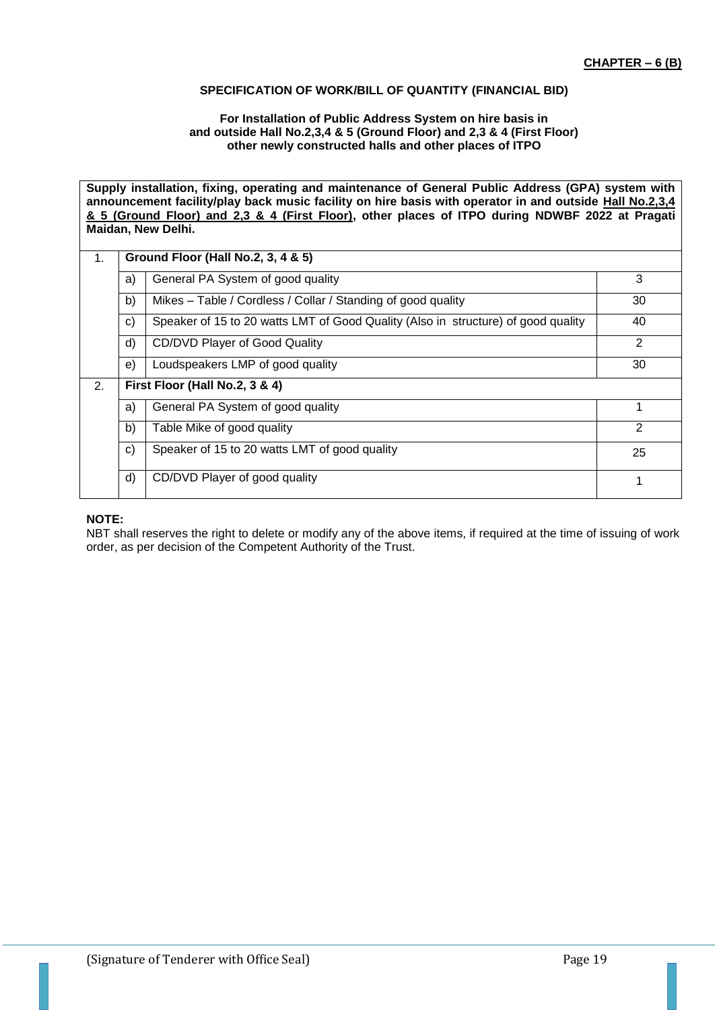## **SPECIFICATION OF WORK/BILL OF QUANTITY (FINANCIAL BID)**

#### **For Installation of Public Address System on hire basis in and outside Hall No.2,3,4 & 5 (Ground Floor) and 2,3 & 4 (First Floor) other newly constructed halls and other places of ITPO**

**Supply installation, fixing, operating and maintenance of General Public Address (GPA) system with announcement facility/play back music facility on hire basis with operator in and outside Hall No.2,3,4 & 5 (Ground Floor) and 2,3 & 4 (First Floor), other places of ITPO during NDWBF 2022 at Pragati Maidan, New Delhi.**

| 1. | Ground Floor (Hall No.2, 3, 4 & 5) |                                                                                   |               |  |  |  |
|----|------------------------------------|-----------------------------------------------------------------------------------|---------------|--|--|--|
|    | a)                                 | General PA System of good quality                                                 | 3             |  |  |  |
|    | b)                                 | Mikes - Table / Cordless / Collar / Standing of good quality                      | 30            |  |  |  |
|    | $\mathbf{c}$                       | Speaker of 15 to 20 watts LMT of Good Quality (Also in structure) of good quality | 40            |  |  |  |
|    | d)                                 | CD/DVD Player of Good Quality                                                     | 2             |  |  |  |
|    | e)                                 | Loudspeakers LMP of good quality                                                  | 30            |  |  |  |
| 2. |                                    | First Floor (Hall No.2, 3 & 4)                                                    |               |  |  |  |
|    | a)                                 | General PA System of good quality                                                 |               |  |  |  |
|    | b)                                 | Table Mike of good quality                                                        | $\mathcal{P}$ |  |  |  |
|    | $\mathbf{c}$                       | Speaker of 15 to 20 watts LMT of good quality                                     | 25            |  |  |  |
|    | d)                                 | CD/DVD Player of good quality                                                     | 1             |  |  |  |

# **NOTE:**

NBT shall reserves the right to delete or modify any of the above items, if required at the time of issuing of work order, as per decision of the Competent Authority of the Trust.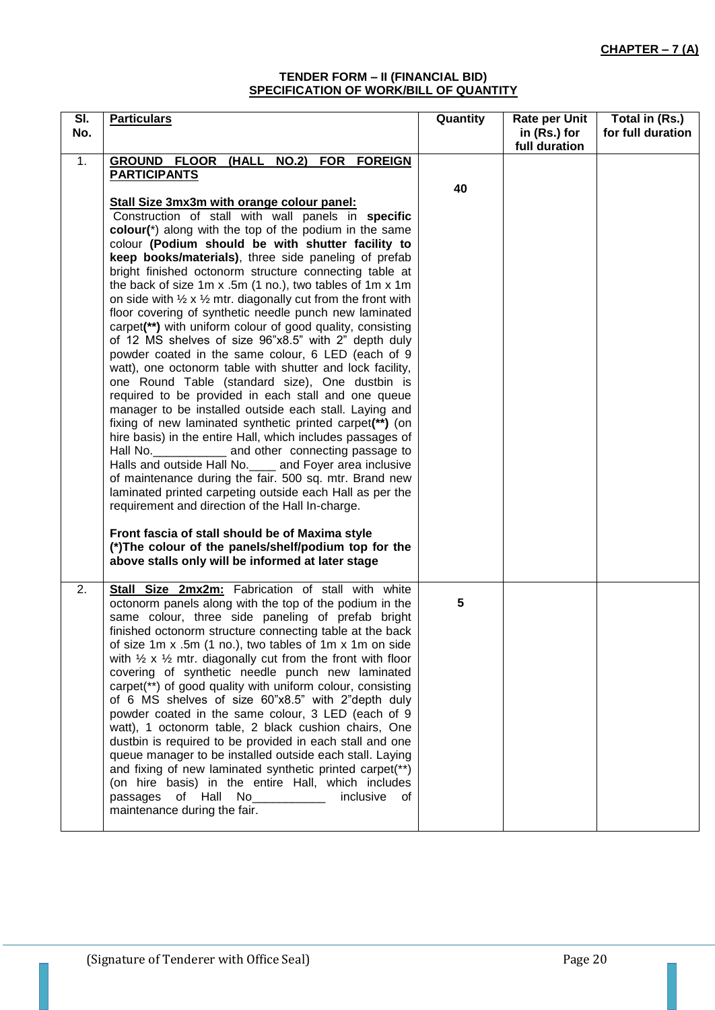#### **TENDER FORM – II (FINANCIAL BID) SPECIFICATION OF WORK/BILL OF QUANTITY**

| SI. | <b>Particulars</b>                                                                                                 | Quantity | <b>Rate per Unit</b> | Total in (Rs.)    |
|-----|--------------------------------------------------------------------------------------------------------------------|----------|----------------------|-------------------|
| No. |                                                                                                                    |          | in (Rs.) for         | for full duration |
|     |                                                                                                                    |          | full duration        |                   |
| 1.  | GROUND FLOOR (HALL NO.2) FOR FOREIGN                                                                               |          |                      |                   |
|     | <b>PARTICIPANTS</b>                                                                                                |          |                      |                   |
|     |                                                                                                                    | 40       |                      |                   |
|     | Stall Size 3mx3m with orange colour panel:                                                                         |          |                      |                   |
|     | Construction of stall with wall panels in specific<br>colour(*) along with the top of the podium in the same       |          |                      |                   |
|     | colour (Podium should be with shutter facility to                                                                  |          |                      |                   |
|     | keep books/materials), three side paneling of prefab                                                               |          |                      |                   |
|     | bright finished octonorm structure connecting table at                                                             |          |                      |                   |
|     | the back of size 1m x .5m (1 no.), two tables of 1m x 1m                                                           |          |                      |                   |
|     | on side with $\frac{1}{2} \times \frac{1}{2}$ mtr. diagonally cut from the front with                              |          |                      |                   |
|     | floor covering of synthetic needle punch new laminated                                                             |          |                      |                   |
|     | carpet(**) with uniform colour of good quality, consisting                                                         |          |                      |                   |
|     | of 12 MS shelves of size 96"x8.5" with 2" depth duly                                                               |          |                      |                   |
|     | powder coated in the same colour, 6 LED (each of 9                                                                 |          |                      |                   |
|     | watt), one octonorm table with shutter and lock facility,                                                          |          |                      |                   |
|     | one Round Table (standard size), One dustbin is                                                                    |          |                      |                   |
|     | required to be provided in each stall and one queue                                                                |          |                      |                   |
|     | manager to be installed outside each stall. Laying and<br>fixing of new laminated synthetic printed carpet(**) (on |          |                      |                   |
|     | hire basis) in the entire Hall, which includes passages of                                                         |          |                      |                   |
|     | and other connecting passage to<br>Hall No.                                                                        |          |                      |                   |
|     | Halls and outside Hall No. _____ and Foyer area inclusive                                                          |          |                      |                   |
|     | of maintenance during the fair. 500 sq. mtr. Brand new                                                             |          |                      |                   |
|     | laminated printed carpeting outside each Hall as per the                                                           |          |                      |                   |
|     | requirement and direction of the Hall In-charge.                                                                   |          |                      |                   |
|     |                                                                                                                    |          |                      |                   |
|     | Front fascia of stall should be of Maxima style                                                                    |          |                      |                   |
|     | (*) The colour of the panels/shelf/podium top for the<br>above stalls only will be informed at later stage         |          |                      |                   |
|     |                                                                                                                    |          |                      |                   |
| 2.  | Stall Size 2mx2m: Fabrication of stall with white                                                                  |          |                      |                   |
|     | octonorm panels along with the top of the podium in the                                                            | 5        |                      |                   |
|     | same colour, three side paneling of prefab bright                                                                  |          |                      |                   |
|     | finished octonorm structure connecting table at the back                                                           |          |                      |                   |
|     | of size 1m x .5m (1 no.), two tables of 1m x 1m on side                                                            |          |                      |                   |
|     | with $\frac{1}{2}$ x $\frac{1}{2}$ mtr. diagonally cut from the front with floor                                   |          |                      |                   |
|     | covering of synthetic needle punch new laminated                                                                   |          |                      |                   |
|     | carpet(**) of good quality with uniform colour, consisting                                                         |          |                      |                   |
|     | of 6 MS shelves of size 60"x8.5" with 2"depth duly                                                                 |          |                      |                   |
|     | powder coated in the same colour, 3 LED (each of 9<br>watt), 1 octonorm table, 2 black cushion chairs, One         |          |                      |                   |
|     | dustbin is required to be provided in each stall and one                                                           |          |                      |                   |
|     | queue manager to be installed outside each stall. Laying                                                           |          |                      |                   |
|     | and fixing of new laminated synthetic printed carpet(**)                                                           |          |                      |                   |
|     | (on hire basis) in the entire Hall, which includes                                                                 |          |                      |                   |
|     | passages of Hall No<br>inclusive<br>of                                                                             |          |                      |                   |
|     | maintenance during the fair.                                                                                       |          |                      |                   |
|     |                                                                                                                    |          |                      |                   |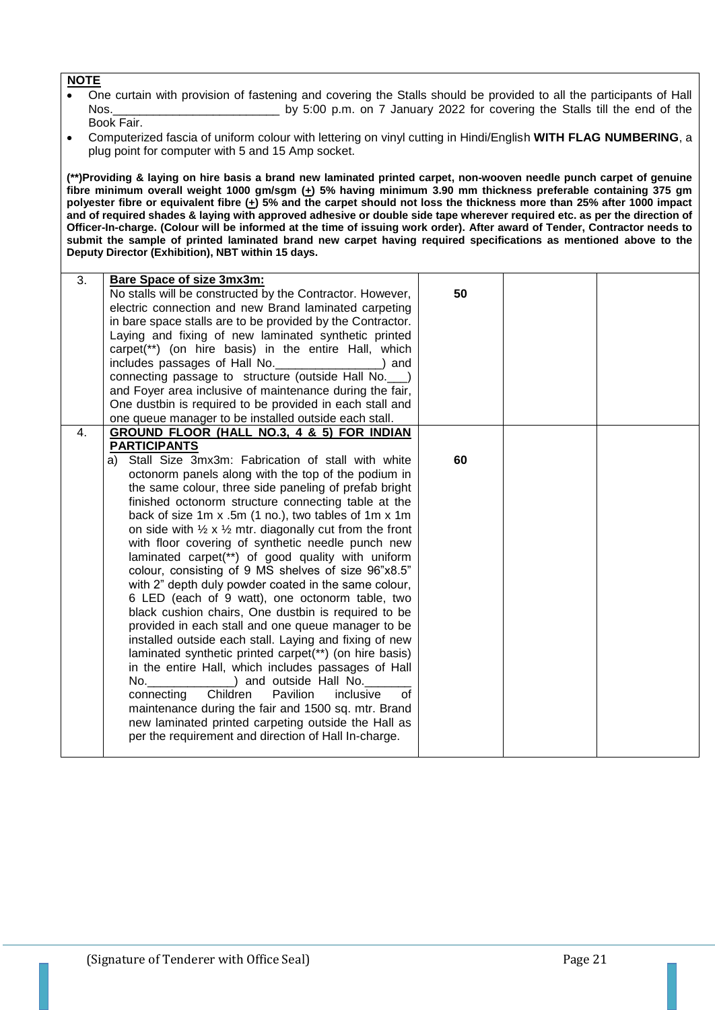- One curtain with provision of fastening and covering the Stalls should be provided to all the participants of Hall Nos.\_\_\_\_\_\_\_\_\_\_\_\_\_\_\_\_\_\_\_\_\_\_\_\_\_ by 5:00 p.m. on 7 January 2022 for covering the Stalls till the end of the
- Book Fair.
- Computerized fascia of uniform colour with lettering on vinyl cutting in Hindi/English **WITH FLAG NUMBERING**, a plug point for computer with 5 and 15 Amp socket.

**(\*\*)Providing & laying on hire basis a brand new laminated printed carpet, non-wooven needle punch carpet of genuine fibre minimum overall weight 1000 gm/sgm (+) 5% having minimum 3.90 mm thickness preferable containing 375 gm polyester fibre or equivalent fibre (+) 5% and the carpet should not loss the thickness more than 25% after 1000 impact and of required shades & laying with approved adhesive or double side tape wherever required etc. as per the direction of Officer-In-charge. (Colour will be informed at the time of issuing work order). After award of Tender, Contractor needs to submit the sample of printed laminated brand new carpet having required specifications as mentioned above to the Deputy Director (Exhibition), NBT within 15 days.**

| 3.<br><b>Bare Space of size 3mx3m:</b><br>No stalls will be constructed by the Contractor. However,<br>electric connection and new Brand laminated carpeting<br>in bare space stalls are to be provided by the Contractor.<br>Laying and fixing of new laminated synthetic printed<br>carpet(**) (on hire basis) in the entire Hall, which<br>includes passages of Hall No.<br>and<br>connecting passage to structure (outside Hall No. ___)<br>and Foyer area inclusive of maintenance during the fair,<br>One dustbin is required to be provided in each stall and<br>one queue manager to be installed outside each stall.                                                                                                                                                                                                                                                                                                                                                                                                                                                                                                                                                                                                                                                                                                                                                                                                                                                                                      | 50 |  |
|--------------------------------------------------------------------------------------------------------------------------------------------------------------------------------------------------------------------------------------------------------------------------------------------------------------------------------------------------------------------------------------------------------------------------------------------------------------------------------------------------------------------------------------------------------------------------------------------------------------------------------------------------------------------------------------------------------------------------------------------------------------------------------------------------------------------------------------------------------------------------------------------------------------------------------------------------------------------------------------------------------------------------------------------------------------------------------------------------------------------------------------------------------------------------------------------------------------------------------------------------------------------------------------------------------------------------------------------------------------------------------------------------------------------------------------------------------------------------------------------------------------------|----|--|
| GROUND FLOOR (HALL NO.3, 4 & 5) FOR INDIAN<br>4.<br><b>PARTICIPANTS</b><br>a) Stall Size 3mx3m: Fabrication of stall with white<br>octonorm panels along with the top of the podium in<br>the same colour, three side paneling of prefab bright<br>finished octonorm structure connecting table at the<br>back of size 1m x .5m (1 no.), two tables of 1m x 1m<br>on side with $\frac{1}{2} \times \frac{1}{2}$ mtr. diagonally cut from the front<br>with floor covering of synthetic needle punch new<br>laminated carpet(**) of good quality with uniform<br>colour, consisting of 9 MS shelves of size 96"x8.5"<br>with 2" depth duly powder coated in the same colour,<br>6 LED (each of 9 watt), one octonorm table, two<br>black cushion chairs, One dustbin is required to be<br>provided in each stall and one queue manager to be<br>installed outside each stall. Laying and fixing of new<br>laminated synthetic printed carpet(**) (on hire basis)<br>in the entire Hall, which includes passages of Hall<br>_) and outside Hall No.<br>No. And the contract of the contract of the contract of the contract of the contract of the contract of the contract of the contract of the contract of the contract of the contract of the contract of the contract of the co<br>Children<br>Pavilion<br>of<br>connecting<br>inclusive<br>maintenance during the fair and 1500 sq. mtr. Brand<br>new laminated printed carpeting outside the Hall as<br>per the requirement and direction of Hall In-charge. | 60 |  |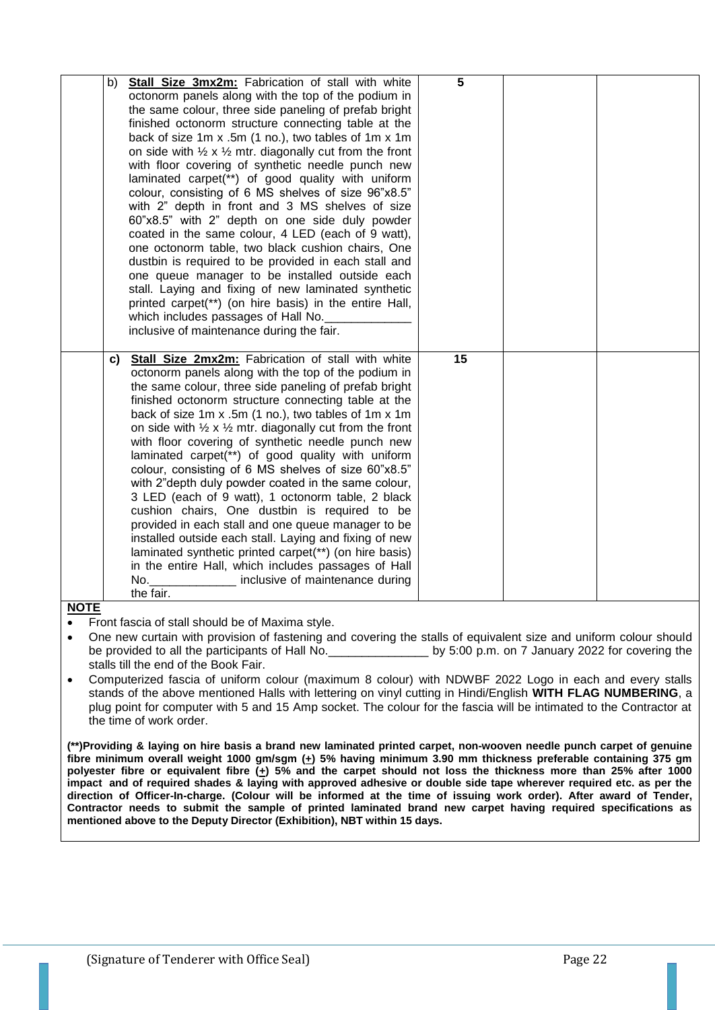| b) | Stall Size 3mx2m: Fabrication of stall with white                                | 5  |  |
|----|----------------------------------------------------------------------------------|----|--|
|    | octonorm panels along with the top of the podium in                              |    |  |
|    | the same colour, three side paneling of prefab bright                            |    |  |
|    | finished octonorm structure connecting table at the                              |    |  |
|    | back of size 1m x .5m (1 no.), two tables of 1m x 1m                             |    |  |
|    | on side with $\frac{1}{2} \times \frac{1}{2}$ mtr. diagonally cut from the front |    |  |
|    | with floor covering of synthetic needle punch new                                |    |  |
|    | laminated carpet(**) of good quality with uniform                                |    |  |
|    | colour, consisting of 6 MS shelves of size 96"x8.5"                              |    |  |
|    | with 2" depth in front and 3 MS shelves of size                                  |    |  |
|    | 60"x8.5" with 2" depth on one side duly powder                                   |    |  |
|    | coated in the same colour, 4 LED (each of 9 watt),                               |    |  |
|    | one octonorm table, two black cushion chairs, One                                |    |  |
|    | dustbin is required to be provided in each stall and                             |    |  |
|    | one queue manager to be installed outside each                                   |    |  |
|    | stall. Laying and fixing of new laminated synthetic                              |    |  |
|    | printed carpet(**) (on hire basis) in the entire Hall,                           |    |  |
|    | which includes passages of Hall No.                                              |    |  |
|    | inclusive of maintenance during the fair.                                        |    |  |
| C) | Stall Size 2mx2m: Fabrication of stall with white                                | 15 |  |
|    | octonorm panels along with the top of the podium in                              |    |  |
|    | the same colour, three side paneling of prefab bright                            |    |  |
|    | finished octonorm structure connecting table at the                              |    |  |
|    | back of size 1m x .5m (1 no.), two tables of 1m x 1m                             |    |  |
|    | on side with $\frac{1}{2} \times \frac{1}{2}$ mtr. diagonally cut from the front |    |  |
|    | with floor covering of synthetic needle punch new                                |    |  |
|    | laminated carpet(**) of good quality with uniform                                |    |  |
|    | colour, consisting of 6 MS shelves of size 60"x8.5"                              |    |  |
|    | with 2"depth duly powder coated in the same colour,                              |    |  |
|    | 3 LED (each of 9 watt), 1 octonorm table, 2 black                                |    |  |
|    | cushion chairs, One dustbin is required to be                                    |    |  |
|    | provided in each stall and one queue manager to be                               |    |  |
|    | installed outside each stall. Laying and fixing of new                           |    |  |
|    | laminated synthetic printed carpet(**) (on hire basis)                           |    |  |
|    |                                                                                  |    |  |
|    | in the entire Hall, which includes passages of Hall                              |    |  |
|    | No.<br>inclusive of maintenance during<br>the fair.                              |    |  |

Front fascia of stall should be of Maxima style.

- One new curtain with provision of fastening and covering the stalls of equivalent size and uniform colour should be provided to all the participants of Hall No.  $\qquad \qquad$  by 5:00 p.m. on 7 January 2022 for covering the stalls till the end of the Book Fair.
- Computerized fascia of uniform colour (maximum 8 colour) with NDWBF 2022 Logo in each and every stalls stands of the above mentioned Halls with lettering on vinyl cutting in Hindi/English **WITH FLAG NUMBERING**, a plug point for computer with 5 and 15 Amp socket. The colour for the fascia will be intimated to the Contractor at the time of work order.

**(\*\*)Providing & laying on hire basis a brand new laminated printed carpet, non-wooven needle punch carpet of genuine**  fibre minimum overall weight 1000 gm/sgm (+) 5% having minimum 3.90 mm thickness preferable containing 375 gm **polyester fibre or equivalent fibre (+) 5% and the carpet should not loss the thickness more than 25% after 1000 impact and of required shades & laying with approved adhesive or double side tape wherever required etc. as per the direction of Officer-In-charge. (Colour will be informed at the time of issuing work order). After award of Tender, Contractor needs to submit the sample of printed laminated brand new carpet having required specifications as mentioned above to the Deputy Director (Exhibition), NBT within 15 days.**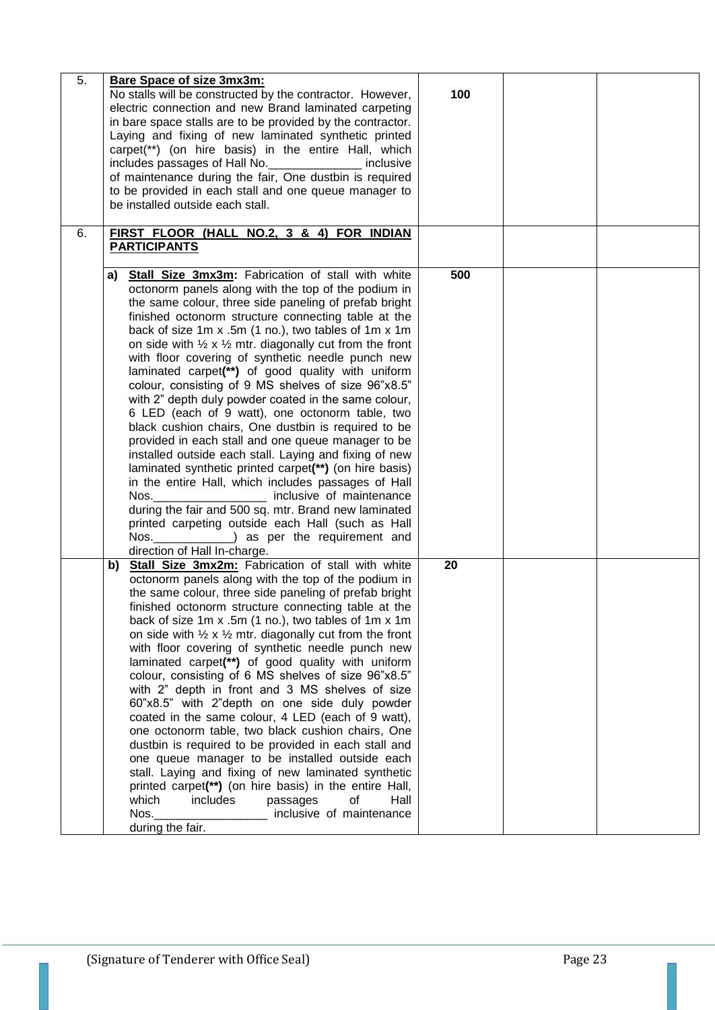| 5. | <b>Bare Space of size 3mx3m:</b><br>No stalls will be constructed by the contractor. However,<br>electric connection and new Brand laminated carpeting<br>in bare space stalls are to be provided by the contractor.<br>Laying and fixing of new laminated synthetic printed<br>carpet(**) (on hire basis) in the entire Hall, which<br>includes passages of Hall No.<br>inclusive<br>of maintenance during the fair, One dustbin is required<br>to be provided in each stall and one queue manager to<br>be installed outside each stall.                                                                                                                                                                                                                                                                                                                                                                                                                                                                                                                                                                                                                                       | 100 |  |
|----|----------------------------------------------------------------------------------------------------------------------------------------------------------------------------------------------------------------------------------------------------------------------------------------------------------------------------------------------------------------------------------------------------------------------------------------------------------------------------------------------------------------------------------------------------------------------------------------------------------------------------------------------------------------------------------------------------------------------------------------------------------------------------------------------------------------------------------------------------------------------------------------------------------------------------------------------------------------------------------------------------------------------------------------------------------------------------------------------------------------------------------------------------------------------------------|-----|--|
| 6. | FIRST FLOOR (HALL NO.2, 3 & 4) FOR INDIAN<br><b>PARTICIPANTS</b>                                                                                                                                                                                                                                                                                                                                                                                                                                                                                                                                                                                                                                                                                                                                                                                                                                                                                                                                                                                                                                                                                                                 |     |  |
|    | a) Stall Size 3mx3m: Fabrication of stall with white<br>octonorm panels along with the top of the podium in<br>the same colour, three side paneling of prefab bright<br>finished octonorm structure connecting table at the<br>back of size 1m x .5m (1 no.), two tables of 1m x 1m<br>on side with $\frac{1}{2} \times \frac{1}{2}$ mtr. diagonally cut from the front<br>with floor covering of synthetic needle punch new<br>laminated carpet(**) of good quality with uniform<br>colour, consisting of 9 MS shelves of size 96"x8.5"<br>with 2" depth duly powder coated in the same colour,<br>6 LED (each of 9 watt), one octonorm table, two<br>black cushion chairs, One dustbin is required to be<br>provided in each stall and one queue manager to be<br>installed outside each stall. Laying and fixing of new<br>laminated synthetic printed carpet(**) (on hire basis)<br>in the entire Hall, which includes passages of Hall<br>inclusive of maintenance<br>Nos.<br>during the fair and 500 sq. mtr. Brand new laminated<br>printed carpeting outside each Hall (such as Hall<br>Nos.________________) as per the requirement and<br>direction of Hall In-charge. | 500 |  |
|    | Stall Size 3mx2m: Fabrication of stall with white<br>b)<br>octonorm panels along with the top of the podium in<br>the same colour, three side paneling of prefab bright<br>finished octonorm structure connecting table at the<br>back of size 1m x .5m (1 no.), two tables of 1m x 1m<br>on side with $\frac{1}{2} \times \frac{1}{2}$ mtr. diagonally cut from the front<br>with floor covering of synthetic needle punch new<br>laminated carpet(**) of good quality with uniform<br>colour, consisting of 6 MS shelves of size 96"x8.5"<br>with 2" depth in front and 3 MS shelves of size<br>60"x8.5" with 2"depth on one side duly powder<br>coated in the same colour, 4 LED (each of 9 watt),<br>one octonorm table, two black cushion chairs, One<br>dustbin is required to be provided in each stall and<br>one queue manager to be installed outside each<br>stall. Laying and fixing of new laminated synthetic<br>printed carpet(**) (on hire basis) in the entire Hall,<br>which<br>includes<br>passages<br>οf<br>Hall<br>Nos.<br>inclusive of maintenance<br>during the fair.                                                                                     | 20  |  |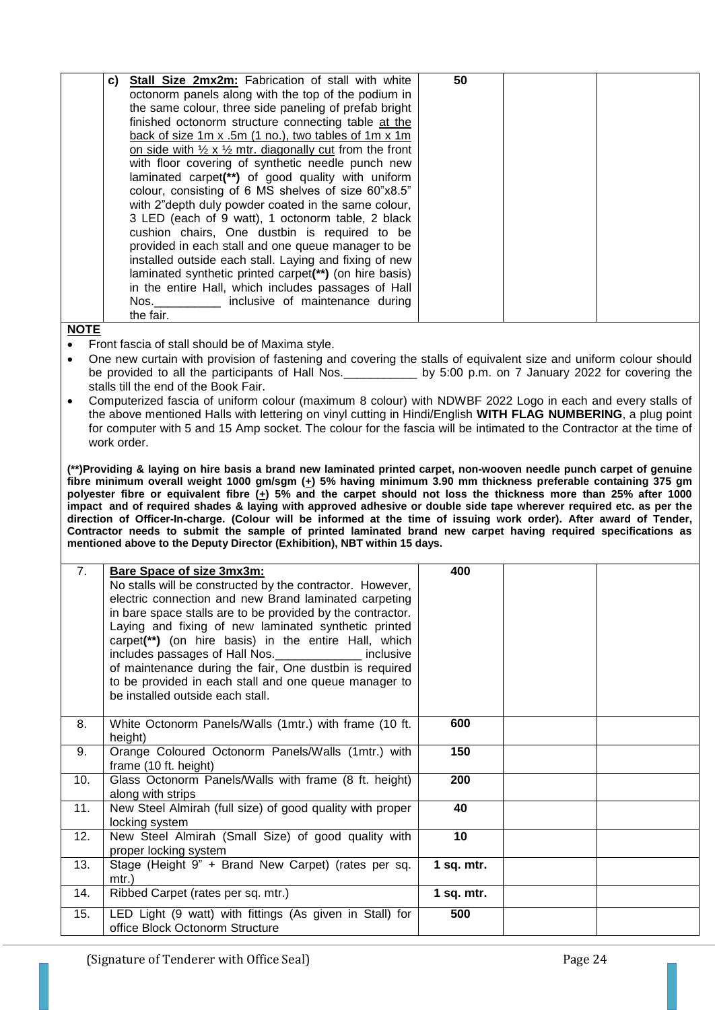| C) | <b>Stall Size 2mx2m:</b> Fabrication of stall with white                         | 50 |  |
|----|----------------------------------------------------------------------------------|----|--|
|    | octonorm panels along with the top of the podium in                              |    |  |
|    | the same colour, three side paneling of prefab bright                            |    |  |
|    | finished octonorm structure connecting table at the                              |    |  |
|    | back of size 1m x .5m (1 no.), two tables of 1m x 1m                             |    |  |
|    | on side with $\frac{1}{2} \times \frac{1}{2}$ mtr. diagonally cut from the front |    |  |
|    | with floor covering of synthetic needle punch new                                |    |  |
|    | laminated carpet(**) of good quality with uniform                                |    |  |
|    | colour, consisting of 6 MS shelves of size 60"x8.5"                              |    |  |
|    | with 2"depth duly powder coated in the same colour,                              |    |  |
|    | 3 LED (each of 9 watt), 1 octonorm table, 2 black                                |    |  |
|    | cushion chairs, One dustbin is required to be                                    |    |  |
|    | provided in each stall and one queue manager to be                               |    |  |
|    | installed outside each stall. Laying and fixing of new                           |    |  |
|    | laminated synthetic printed carpet(**) (on hire basis)                           |    |  |
|    | in the entire Hall, which includes passages of Hall                              |    |  |
|    | Nos. ________ inclusive of maintenance during                                    |    |  |
|    | the fair.                                                                        |    |  |

- Front fascia of stall should be of Maxima style.
- One new curtain with provision of fastening and covering the stalls of equivalent size and uniform colour should be provided to all the participants of Hall Nos.\_\_\_\_\_\_\_\_\_\_\_ by 5:00 p.m. on 7 January 2022 for covering the stalls till the end of the Book Fair.
- Computerized fascia of uniform colour (maximum 8 colour) with NDWBF 2022 Logo in each and every stalls of the above mentioned Halls with lettering on vinyl cutting in Hindi/English **WITH FLAG NUMBERING**, a plug point for computer with 5 and 15 Amp socket. The colour for the fascia will be intimated to the Contractor at the time of work order.

**(\*\*)Providing & laying on hire basis a brand new laminated printed carpet, non-wooven needle punch carpet of genuine**  fibre minimum overall weight 1000 gm/sgm (+) 5% having minimum 3.90 mm thickness preferable containing 375 gm **polyester fibre or equivalent fibre (+) 5% and the carpet should not loss the thickness more than 25% after 1000 impact and of required shades & laying with approved adhesive or double side tape wherever required etc. as per the direction of Officer-In-charge. (Colour will be informed at the time of issuing work order). After award of Tender, Contractor needs to submit the sample of printed laminated brand new carpet having required specifications as mentioned above to the Deputy Director (Exhibition), NBT within 15 days.**

| 7.  | <b>Bare Space of size 3mx3m:</b><br>No stalls will be constructed by the contractor. However,<br>electric connection and new Brand laminated carpeting<br>in bare space stalls are to be provided by the contractor.<br>Laying and fixing of new laminated synthetic printed<br>carpet(**) (on hire basis) in the entire Hall, which<br>includes passages of Hall Nos. ______________ inclusive<br>of maintenance during the fair, One dustbin is required<br>to be provided in each stall and one queue manager to<br>be installed outside each stall. | 400             |  |
|-----|---------------------------------------------------------------------------------------------------------------------------------------------------------------------------------------------------------------------------------------------------------------------------------------------------------------------------------------------------------------------------------------------------------------------------------------------------------------------------------------------------------------------------------------------------------|-----------------|--|
| 8.  | White Octonorm Panels/Walls (1mtr.) with frame (10 ft.<br>height)                                                                                                                                                                                                                                                                                                                                                                                                                                                                                       | 600             |  |
| 9.  | Orange Coloured Octonorm Panels/Walls (1mtr.) with<br>frame (10 ft. height)                                                                                                                                                                                                                                                                                                                                                                                                                                                                             | 150             |  |
| 10. | Glass Octonorm Panels/Walls with frame (8 ft. height)<br>along with strips                                                                                                                                                                                                                                                                                                                                                                                                                                                                              | 200             |  |
| 11. | New Steel Almirah (full size) of good quality with proper<br>locking system                                                                                                                                                                                                                                                                                                                                                                                                                                                                             | 40              |  |
| 12. | New Steel Almirah (Small Size) of good quality with<br>proper locking system                                                                                                                                                                                                                                                                                                                                                                                                                                                                            | 10 <sub>1</sub> |  |
| 13. | Stage (Height 9" + Brand New Carpet) (rates per sq.<br>$mtr.$ )                                                                                                                                                                                                                                                                                                                                                                                                                                                                                         | $1$ sq. mtr.    |  |
| 14. | Ribbed Carpet (rates per sq. mtr.)                                                                                                                                                                                                                                                                                                                                                                                                                                                                                                                      | 1 sq. $mtr.$    |  |
| 15. | LED Light (9 watt) with fittings (As given in Stall) for<br>office Block Octonorm Structure                                                                                                                                                                                                                                                                                                                                                                                                                                                             | 500             |  |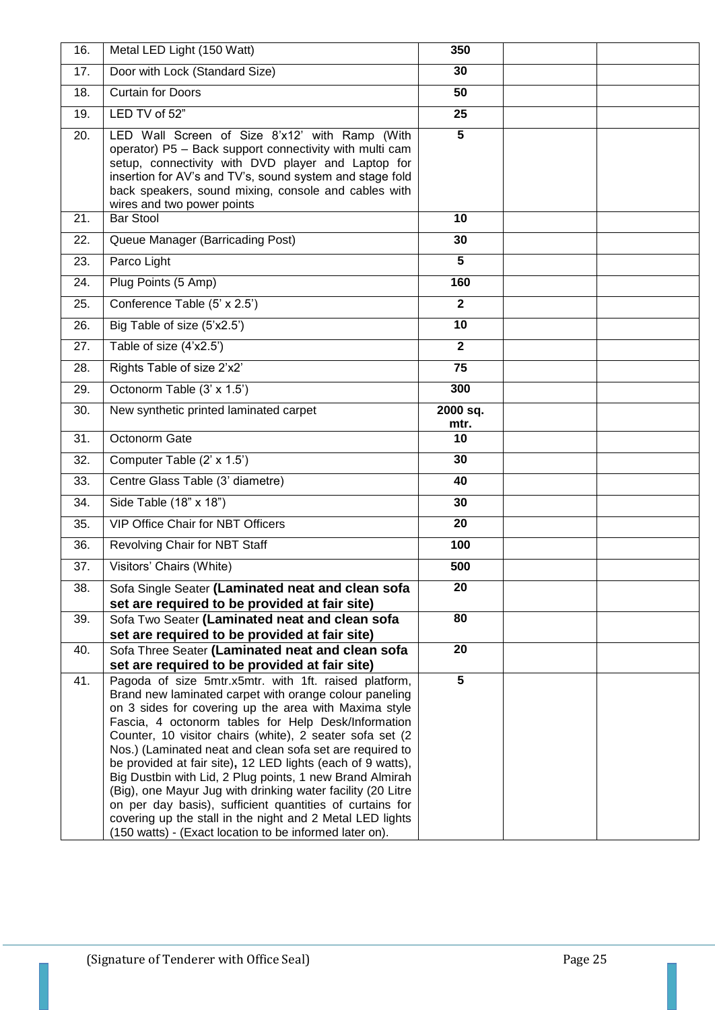| 16. | Metal LED Light (150 Watt)                                                                                                                                                                                                                                                                                                                                                                                                                                                                                                                                                                                                                                                                                                            | 350              |  |
|-----|---------------------------------------------------------------------------------------------------------------------------------------------------------------------------------------------------------------------------------------------------------------------------------------------------------------------------------------------------------------------------------------------------------------------------------------------------------------------------------------------------------------------------------------------------------------------------------------------------------------------------------------------------------------------------------------------------------------------------------------|------------------|--|
| 17. | Door with Lock (Standard Size)                                                                                                                                                                                                                                                                                                                                                                                                                                                                                                                                                                                                                                                                                                        | 30               |  |
| 18. | <b>Curtain for Doors</b>                                                                                                                                                                                                                                                                                                                                                                                                                                                                                                                                                                                                                                                                                                              | 50               |  |
| 19. | LED TV of 52"                                                                                                                                                                                                                                                                                                                                                                                                                                                                                                                                                                                                                                                                                                                         | 25               |  |
| 20. | LED Wall Screen of Size 8'x12' with Ramp (With<br>operator) P5 - Back support connectivity with multi cam<br>setup, connectivity with DVD player and Laptop for<br>insertion for AV's and TV's, sound system and stage fold<br>back speakers, sound mixing, console and cables with<br>wires and two power points                                                                                                                                                                                                                                                                                                                                                                                                                     | $\overline{5}$   |  |
| 21. | <b>Bar Stool</b>                                                                                                                                                                                                                                                                                                                                                                                                                                                                                                                                                                                                                                                                                                                      | 10               |  |
| 22. | Queue Manager (Barricading Post)                                                                                                                                                                                                                                                                                                                                                                                                                                                                                                                                                                                                                                                                                                      | 30               |  |
| 23. | Parco Light                                                                                                                                                                                                                                                                                                                                                                                                                                                                                                                                                                                                                                                                                                                           | 5                |  |
| 24. | Plug Points (5 Amp)                                                                                                                                                                                                                                                                                                                                                                                                                                                                                                                                                                                                                                                                                                                   | 160              |  |
| 25. | Conference Table (5' x 2.5')                                                                                                                                                                                                                                                                                                                                                                                                                                                                                                                                                                                                                                                                                                          | $\overline{2}$   |  |
| 26. | Big Table of size (5'x2.5')                                                                                                                                                                                                                                                                                                                                                                                                                                                                                                                                                                                                                                                                                                           | 10               |  |
| 27. | Table of size (4'x2.5')                                                                                                                                                                                                                                                                                                                                                                                                                                                                                                                                                                                                                                                                                                               | $\mathbf{2}$     |  |
| 28. | Rights Table of size 2'x2'                                                                                                                                                                                                                                                                                                                                                                                                                                                                                                                                                                                                                                                                                                            | 75               |  |
| 29. | Octonorm Table (3' x 1.5')                                                                                                                                                                                                                                                                                                                                                                                                                                                                                                                                                                                                                                                                                                            | 300              |  |
| 30. | New synthetic printed laminated carpet                                                                                                                                                                                                                                                                                                                                                                                                                                                                                                                                                                                                                                                                                                | 2000 sq.<br>mtr. |  |
| 31. | Octonorm Gate                                                                                                                                                                                                                                                                                                                                                                                                                                                                                                                                                                                                                                                                                                                         | 10               |  |
| 32. | Computer Table (2' x 1.5')                                                                                                                                                                                                                                                                                                                                                                                                                                                                                                                                                                                                                                                                                                            | 30               |  |
| 33. | Centre Glass Table (3' diametre)                                                                                                                                                                                                                                                                                                                                                                                                                                                                                                                                                                                                                                                                                                      | 40               |  |
| 34. | Side Table (18" x 18")                                                                                                                                                                                                                                                                                                                                                                                                                                                                                                                                                                                                                                                                                                                | 30               |  |
| 35. | VIP Office Chair for NBT Officers                                                                                                                                                                                                                                                                                                                                                                                                                                                                                                                                                                                                                                                                                                     | 20               |  |
| 36. | Revolving Chair for NBT Staff                                                                                                                                                                                                                                                                                                                                                                                                                                                                                                                                                                                                                                                                                                         | 100              |  |
| 37. | Visitors' Chairs (White)                                                                                                                                                                                                                                                                                                                                                                                                                                                                                                                                                                                                                                                                                                              | 500              |  |
| 38. | Sofa Single Seater (Laminated neat and clean sofa<br>set are required to be provided at fair site)                                                                                                                                                                                                                                                                                                                                                                                                                                                                                                                                                                                                                                    | 20               |  |
| 39. | Sofa Two Seater (Laminated neat and clean sofa<br>set are required to be provided at fair site)                                                                                                                                                                                                                                                                                                                                                                                                                                                                                                                                                                                                                                       | 80               |  |
| 40. | Sofa Three Seater (Laminated neat and clean sofa<br>set are required to be provided at fair site)                                                                                                                                                                                                                                                                                                                                                                                                                                                                                                                                                                                                                                     | 20               |  |
| 41. | Pagoda of size 5mtr.x5mtr. with 1ft. raised platform,<br>Brand new laminated carpet with orange colour paneling<br>on 3 sides for covering up the area with Maxima style<br>Fascia, 4 octonorm tables for Help Desk/Information<br>Counter, 10 visitor chairs (white), 2 seater sofa set (2<br>Nos.) (Laminated neat and clean sofa set are required to<br>be provided at fair site), 12 LED lights (each of 9 watts),<br>Big Dustbin with Lid, 2 Plug points, 1 new Brand Almirah<br>(Big), one Mayur Jug with drinking water facility (20 Litre<br>on per day basis), sufficient quantities of curtains for<br>covering up the stall in the night and 2 Metal LED lights<br>(150 watts) - (Exact location to be informed later on). | $\overline{5}$   |  |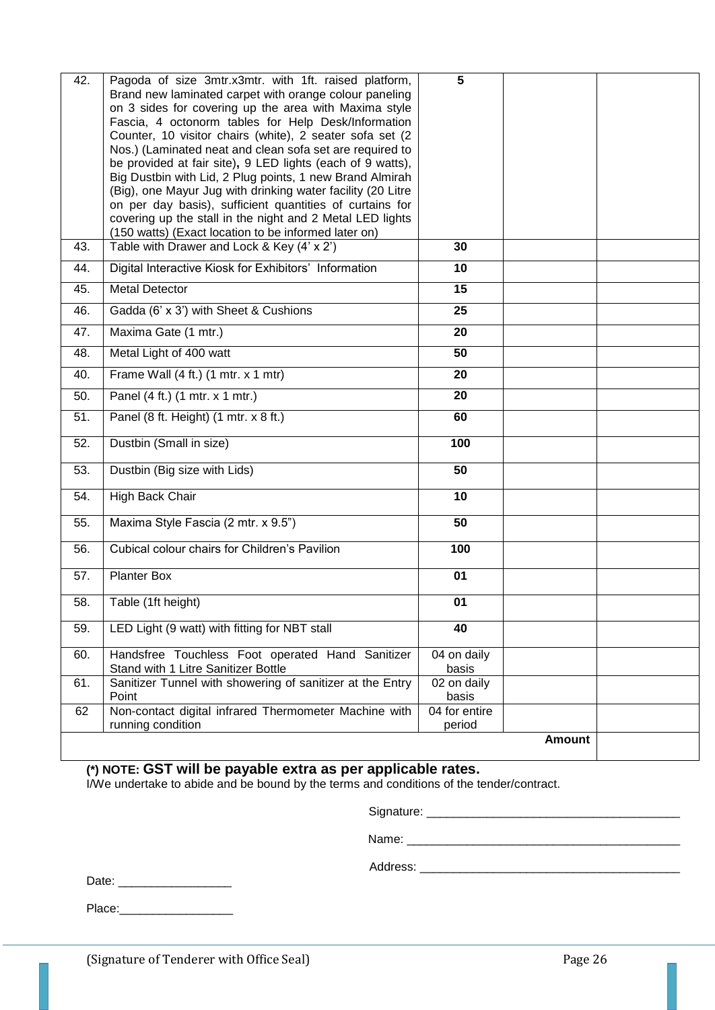| 42.        | Pagoda of size 3mtr.x3mtr. with 1ft. raised platform,<br>Brand new laminated carpet with orange colour paneling<br>on 3 sides for covering up the area with Maxima style<br>Fascia, 4 octonorm tables for Help Desk/Information<br>Counter, 10 visitor chairs (white), 2 seater sofa set (2<br>Nos.) (Laminated neat and clean sofa set are required to<br>be provided at fair site), 9 LED lights (each of 9 watts),<br>Big Dustbin with Lid, 2 Plug points, 1 new Brand Almirah<br>(Big), one Mayur Jug with drinking water facility (20 Litre<br>on per day basis), sufficient quantities of curtains for<br>covering up the stall in the night and 2 Metal LED lights<br>(150 watts) (Exact location to be informed later on) | 5                       |        |  |
|------------|-----------------------------------------------------------------------------------------------------------------------------------------------------------------------------------------------------------------------------------------------------------------------------------------------------------------------------------------------------------------------------------------------------------------------------------------------------------------------------------------------------------------------------------------------------------------------------------------------------------------------------------------------------------------------------------------------------------------------------------|-------------------------|--------|--|
| 43.<br>44. | Table with Drawer and Lock & Key (4' x 2')<br>Digital Interactive Kiosk for Exhibitors' Information                                                                                                                                                                                                                                                                                                                                                                                                                                                                                                                                                                                                                               | 30<br>10                |        |  |
| 45.        | <b>Metal Detector</b>                                                                                                                                                                                                                                                                                                                                                                                                                                                                                                                                                                                                                                                                                                             | 15                      |        |  |
|            |                                                                                                                                                                                                                                                                                                                                                                                                                                                                                                                                                                                                                                                                                                                                   | 25                      |        |  |
| 46.        | Gadda (6' x 3') with Sheet & Cushions                                                                                                                                                                                                                                                                                                                                                                                                                                                                                                                                                                                                                                                                                             |                         |        |  |
| 47.        | Maxima Gate (1 mtr.)                                                                                                                                                                                                                                                                                                                                                                                                                                                                                                                                                                                                                                                                                                              | 20                      |        |  |
| 48.        | Metal Light of 400 watt                                                                                                                                                                                                                                                                                                                                                                                                                                                                                                                                                                                                                                                                                                           | 50                      |        |  |
| 40.        | Frame Wall (4 ft.) (1 mtr. x 1 mtr)                                                                                                                                                                                                                                                                                                                                                                                                                                                                                                                                                                                                                                                                                               | 20                      |        |  |
| 50.        | Panel (4 ft.) (1 mtr. x 1 mtr.)                                                                                                                                                                                                                                                                                                                                                                                                                                                                                                                                                                                                                                                                                                   | 20                      |        |  |
| 51.        | Panel (8 ft. Height) (1 mtr. x 8 ft.)                                                                                                                                                                                                                                                                                                                                                                                                                                                                                                                                                                                                                                                                                             | 60                      |        |  |
| 52.        | Dustbin (Small in size)                                                                                                                                                                                                                                                                                                                                                                                                                                                                                                                                                                                                                                                                                                           | 100                     |        |  |
| 53.        | Dustbin (Big size with Lids)                                                                                                                                                                                                                                                                                                                                                                                                                                                                                                                                                                                                                                                                                                      | 50                      |        |  |
| 54.        | High Back Chair                                                                                                                                                                                                                                                                                                                                                                                                                                                                                                                                                                                                                                                                                                                   | 10                      |        |  |
| 55.        | Maxima Style Fascia (2 mtr. x 9.5")                                                                                                                                                                                                                                                                                                                                                                                                                                                                                                                                                                                                                                                                                               | 50                      |        |  |
| 56.        | Cubical colour chairs for Children's Pavilion                                                                                                                                                                                                                                                                                                                                                                                                                                                                                                                                                                                                                                                                                     | 100                     |        |  |
| 57.        | <b>Planter Box</b>                                                                                                                                                                                                                                                                                                                                                                                                                                                                                                                                                                                                                                                                                                                | 01                      |        |  |
| 58.        | Table (1ft height)                                                                                                                                                                                                                                                                                                                                                                                                                                                                                                                                                                                                                                                                                                                | 01                      |        |  |
| 59.        | LED Light (9 watt) with fitting for NBT stall                                                                                                                                                                                                                                                                                                                                                                                                                                                                                                                                                                                                                                                                                     | 40                      |        |  |
| 60.        | Handsfree Touchless Foot operated Hand Sanitizer<br>Stand with 1 Litre Sanitizer Bottle                                                                                                                                                                                                                                                                                                                                                                                                                                                                                                                                                                                                                                           | 04 on daily<br>basis    |        |  |
| 61.        | Sanitizer Tunnel with showering of sanitizer at the Entry<br>Point                                                                                                                                                                                                                                                                                                                                                                                                                                                                                                                                                                                                                                                                | 02 on daily<br>basis    |        |  |
| 62         | Non-contact digital infrared Thermometer Machine with<br>running condition                                                                                                                                                                                                                                                                                                                                                                                                                                                                                                                                                                                                                                                        | 04 for entire<br>period |        |  |
|            |                                                                                                                                                                                                                                                                                                                                                                                                                                                                                                                                                                                                                                                                                                                                   |                         | Amount |  |

**(\*) NOTE: GST will be payable extra as per applicable rates.**

I/We undertake to abide and be bound by the terms and conditions of the tender/contract.

Signature: \_\_\_\_\_\_\_\_\_\_\_\_\_\_\_\_\_\_\_\_\_\_\_\_\_\_\_\_\_\_\_\_\_\_\_\_\_\_

Name: \_\_\_\_\_\_\_\_\_\_\_\_\_\_\_\_\_\_\_\_\_\_\_\_\_\_\_\_\_\_\_\_\_\_\_\_\_\_\_\_\_

Address: \_\_\_\_\_\_\_\_\_\_\_\_\_\_\_\_\_\_\_\_\_\_\_\_\_\_\_\_\_\_\_\_\_\_\_\_\_\_\_

Date: \_\_\_\_\_\_\_\_\_\_\_\_\_\_\_\_\_

Place:\_\_\_\_\_\_\_\_\_\_\_\_\_\_\_\_\_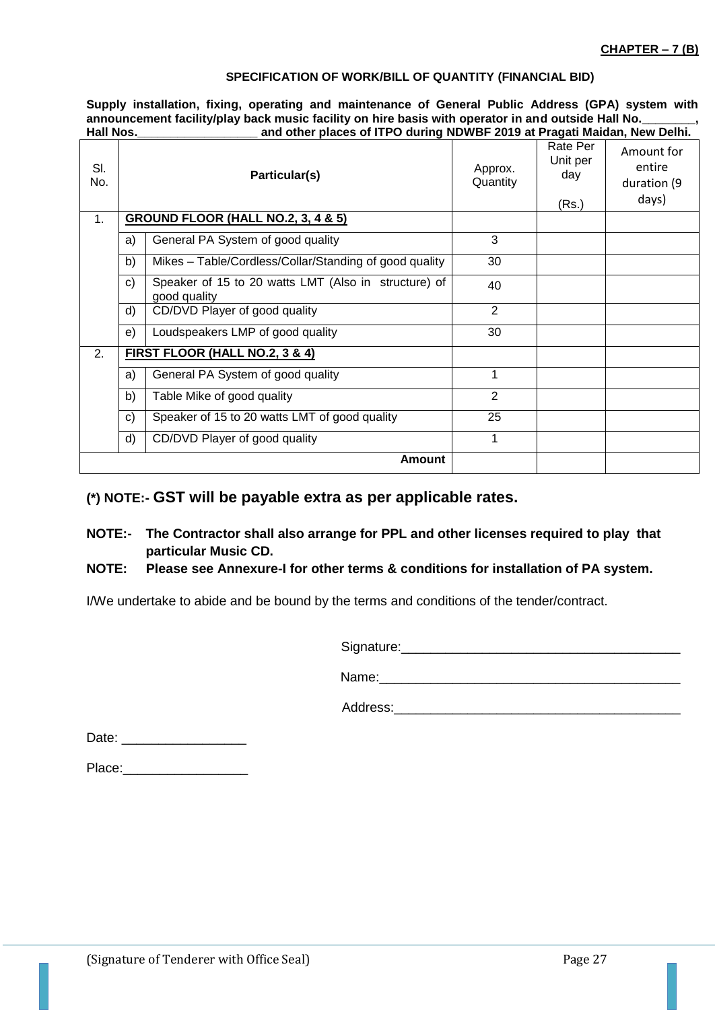#### **SPECIFICATION OF WORK/BILL OF QUANTITY (FINANCIAL BID)**

**Supply installation, fixing, operating and maintenance of General Public Address (GPA) system with**  announcement facility/play back music facility on hire basis with operator in and outside Hall No.<br>and other places of ITPO during NDWBF 2019 at Pragati Maidan. Ne and other places of ITPO during NDWBF 2019 at Pragati Maidan, New Delhi.

| SI.<br>No. |              | Particular(s)                                                        | Approx.<br>Quantity | Rate Per<br>Unit per<br>day<br>(Rs.) | Amount for<br>entire<br>duration (9<br>days) |
|------------|--------------|----------------------------------------------------------------------|---------------------|--------------------------------------|----------------------------------------------|
| 1.         |              | <b>GROUND FLOOR (HALL NO.2, 3, 4 &amp; 5)</b>                        |                     |                                      |                                              |
|            | a)           | General PA System of good quality                                    | 3                   |                                      |                                              |
|            | b)           | Mikes – Table/Cordless/Collar/Standing of good quality               | 30                  |                                      |                                              |
|            | $\mathbf{C}$ | Speaker of 15 to 20 watts LMT (Also in structure) of<br>good quality | 40                  |                                      |                                              |
|            | d)           | CD/DVD Player of good quality                                        | 2                   |                                      |                                              |
|            | e)           | Loudspeakers LMP of good quality                                     | 30                  |                                      |                                              |
| 2.         |              | FIRST FLOOR (HALL NO.2, 3 & 4)                                       |                     |                                      |                                              |
|            | a)           | General PA System of good quality                                    | 1                   |                                      |                                              |
|            | b)           | Table Mike of good quality                                           | 2                   |                                      |                                              |
|            | $\mathbf{C}$ | Speaker of 15 to 20 watts LMT of good quality                        | 25                  |                                      |                                              |
|            | d)           | CD/DVD Player of good quality                                        | 1                   |                                      |                                              |
|            |              | <b>Amount</b>                                                        |                     |                                      |                                              |

## **(\*) NOTE:- GST will be payable extra as per applicable rates.**

**NOTE:- The Contractor shall also arrange for PPL and other licenses required to play that particular Music CD.**

## **NOTE: Please see Annexure-I for other terms & conditions for installation of PA system.**

I/We undertake to abide and be bound by the terms and conditions of the tender/contract.

Signature:\_\_\_\_\_\_\_\_\_\_\_\_\_\_\_\_\_\_\_\_\_\_\_\_\_\_\_\_\_\_\_\_\_\_\_\_\_\_

Name:\_\_\_\_\_\_\_\_\_\_\_\_\_\_\_\_\_\_\_\_\_\_\_\_\_\_\_\_\_\_\_\_\_\_\_\_\_\_\_\_\_

Address:

Date: \_\_\_\_\_\_\_\_\_\_\_\_\_\_\_\_\_

Place: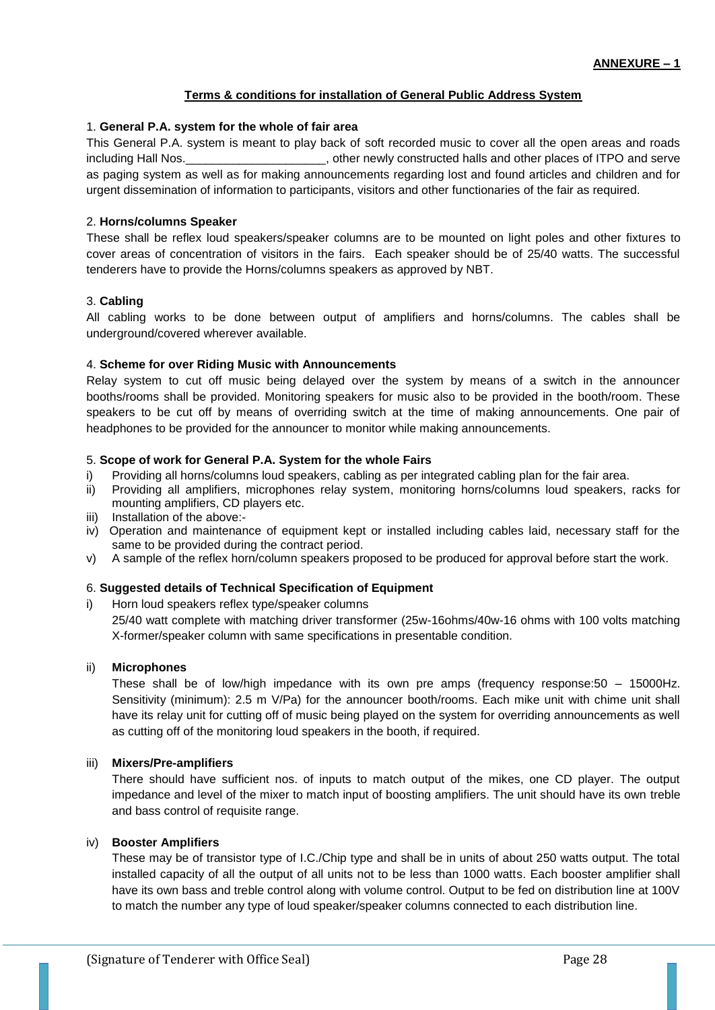## **Terms & conditions for installation of General Public Address System**

## 1. **General P.A. system for the whole of fair area**

This General P.A. system is meant to play back of soft recorded music to cover all the open areas and roads including Hall Nos.\_\_\_\_\_\_\_\_\_\_\_\_\_\_\_\_\_\_\_\_\_, other newly constructed halls and other places of ITPO and serve as paging system as well as for making announcements regarding lost and found articles and children and for urgent dissemination of information to participants, visitors and other functionaries of the fair as required.

## 2. **Horns/columns Speaker**

These shall be reflex loud speakers/speaker columns are to be mounted on light poles and other fixtures to cover areas of concentration of visitors in the fairs. Each speaker should be of 25/40 watts. The successful tenderers have to provide the Horns/columns speakers as approved by NBT.

#### 3. **Cabling**

All cabling works to be done between output of amplifiers and horns/columns. The cables shall be underground/covered wherever available.

#### 4. **Scheme for over Riding Music with Announcements**

Relay system to cut off music being delayed over the system by means of a switch in the announcer booths/rooms shall be provided. Monitoring speakers for music also to be provided in the booth/room. These speakers to be cut off by means of overriding switch at the time of making announcements. One pair of headphones to be provided for the announcer to monitor while making announcements.

#### 5. **Scope of work for General P.A. System for the whole Fairs**

- i) Providing all horns/columns loud speakers, cabling as per integrated cabling plan for the fair area.
- ii) Providing all amplifiers, microphones relay system, monitoring horns/columns loud speakers, racks for mounting amplifiers, CD players etc.
- iii) Installation of the above:-
- iv) Operation and maintenance of equipment kept or installed including cables laid, necessary staff for the same to be provided during the contract period.
- v) A sample of the reflex horn/column speakers proposed to be produced for approval before start the work.

## 6. **Suggested details of Technical Specification of Equipment**

i) Horn loud speakers reflex type/speaker columns

25/40 watt complete with matching driver transformer (25w-16ohms/40w-16 ohms with 100 volts matching X-former/speaker column with same specifications in presentable condition.

#### ii) **Microphones**

These shall be of low/high impedance with its own pre amps (frequency response:50 – 15000Hz. Sensitivity (minimum): 2.5 m V/Pa) for the announcer booth/rooms. Each mike unit with chime unit shall have its relay unit for cutting off of music being played on the system for overriding announcements as well as cutting off of the monitoring loud speakers in the booth, if required.

#### iii) **Mixers/Pre-amplifiers**

There should have sufficient nos. of inputs to match output of the mikes, one CD player. The output impedance and level of the mixer to match input of boosting amplifiers. The unit should have its own treble and bass control of requisite range.

#### iv) **Booster Amplifiers**

These may be of transistor type of I.C./Chip type and shall be in units of about 250 watts output. The total installed capacity of all the output of all units not to be less than 1000 watts. Each booster amplifier shall have its own bass and treble control along with volume control. Output to be fed on distribution line at 100V to match the number any type of loud speaker/speaker columns connected to each distribution line.